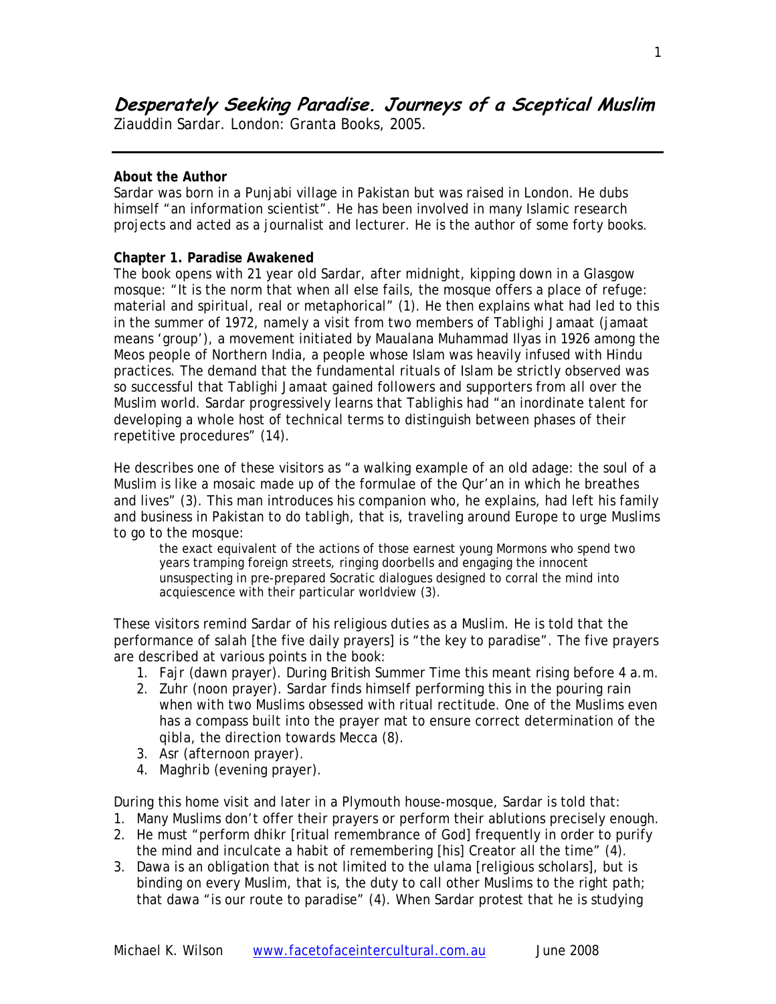# **About the Author**

Sardar was born in a Punjabi village in Pakistan but was raised in London. He dubs himself "an information scientist". He has been involved in many Islamic research projects and acted as a journalist and lecturer. He is the author of some forty books.

# **Chapter 1. Paradise Awakened**

The book opens with 21 year old Sardar, after midnight, kipping down in a Glasgow mosque: "It is the norm that when all else fails, the mosque offers a place of refuge: material and spiritual, real or metaphorical" (1). He then explains what had led to this in the summer of 1972, namely a visit from two members of *Tablighi Jamaat* (*jamaat* means 'group'), a movement initiated by Maualana Muhammad Ilyas in 1926 among the Meos people of Northern India, a people whose Islam was heavily infused with Hindu practices. The demand that the fundamental rituals of Islam be strictly observed was so successful that Tablighi Jamaat gained followers and supporters from all over the Muslim world. Sardar progressively learns that Tablighis had "an inordinate talent for developing a whole host of technical terms to distinguish between phases of their repetitive procedures" (14).

He describes one of these visitors as "a walking example of an old adage: the soul of a Muslim is like a mosaic made up of the formulae of the Qur'an in which he breathes and lives" (3). This man introduces his companion who, he explains, had left his family and business in Pakistan to do *tabligh*, that is, traveling around Europe to urge Muslims to go to the mosque:

the exact equivalent of the actions of those earnest young Mormons who spend two years tramping foreign streets, ringing doorbells and engaging the innocent unsuspecting in pre-prepared Socratic dialogues designed to corral the mind into acquiescence with their particular worldview (3).

These visitors remind Sardar of his religious duties as a Muslim. He is told that the performance of *salah* [the five daily prayers] is "the key to paradise". The five prayers are described at various points in the book:

- 1. *Fajr* (dawn prayer). During British Summer Time this meant rising before 4 a.m.
- 2. *Zuhr* (noon prayer). Sardar finds himself performing this in the pouring rain when with two Muslims obsessed with ritual rectitude. One of the Muslims even has a compass built into the prayer mat to ensure correct determination of the *qibla*, the direction towards Mecca (8).
- 3. *Asr* (afternoon prayer).
- 4. *Maghrib* (evening prayer).

During this home visit and later in a Plymouth house-mosque, Sardar is told that:

- 1. Many Muslims don't offer their prayers or perform their ablutions precisely enough.
- 2. He must "perform *dhikr* [ritual remembrance of God] frequently in order to purify the mind and inculcate a habit of remembering [his] Creator all the time" (4).
- 3. D*awa* is an obligation that is not limited to the *ulama* [religious scholars], but is binding on every Muslim, that is, the duty to call other Muslims to the right path; that *dawa* "is our route to paradise" (4). When Sardar protest that he is studying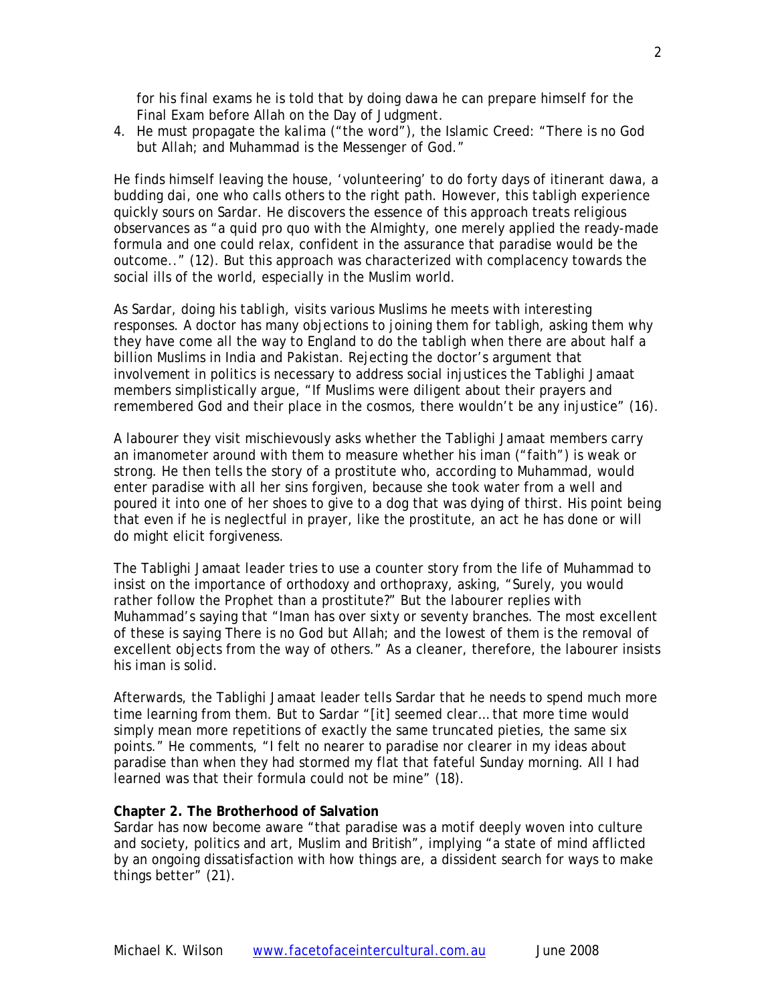for his final exams he is told that by doing *dawa* he can prepare himself for the Final Exam before Allah on the Day of Judgment.

4. He must propagate the *kalima* ("the word"), the Islamic Creed: "There is no God but Allah; and Muhammad is the Messenger of God."

He finds himself leaving the house, 'volunteering' to do forty days of itinerant *dawa*, a budding *dai*, one who calls others to the right path. However, this *tabligh* experience quickly sours on Sardar. He discovers the essence of this approach treats religious observances as "a *quid pro quo* with the Almighty, one merely applied the ready-made formula and one could relax, confident in the assurance that paradise would be the outcome.." (12). But this approach was characterized with complacency towards the social ills of the world, especially in the Muslim world.

As Sardar, doing his *tabligh*, visits various Muslims he meets with interesting responses. A doctor has many objections to joining them for *tabligh*, asking them why they have come all the way to England to do the *tabligh* when there are about half a billion Muslims in India and Pakistan. Rejecting the doctor's argument that involvement in politics is necessary to address social injustices the Tablighi Jamaat members simplistically argue, "If Muslims were diligent about their prayers and remembered God and their place in the cosmos, there wouldn't be any injustice" (16).

A labourer they visit mischievously asks whether the Tablighi Jamaat members carry an imanometer around with them to measure whether his *iman* ("faith") is weak or strong. He then tells the story of a prostitute who, according to Muhammad, would enter paradise with all her sins forgiven, because she took water from a well and poured it into one of her shoes to give to a dog that was dying of thirst. His point being that even if he is neglectful in prayer, like the prostitute, an act he has done or will do might elicit forgiveness.

The Tablighi Jamaat leader tries to use a counter story from the life of Muhammad to insist on the importance of orthodoxy and orthopraxy, asking, "Surely, you would rather follow the Prophet than a prostitute?" But the labourer replies with Muhammad's saying that "Iman has over sixty or seventy branches. The most excellent of these is saying There is no God but Allah; and the lowest of them is the removal of excellent objects from the way of others." As a cleaner, therefore, the labourer insists his *iman* is solid.

Afterwards, the Tablighi Jamaat leader tells Sardar that he needs to spend much more time learning from them. But to Sardar "[it] seemed clear… that more time would simply mean more repetitions of exactly the same truncated pieties, the same six points." He comments, "I felt no nearer to paradise nor clearer in my ideas about paradise than when they had stormed my flat that fateful Sunday morning. All I had learned was that their formula could not be mine" (18).

## **Chapter 2. The Brotherhood of Salvation**

Sardar has now become aware "that paradise was a motif deeply woven into culture and society, politics and art, Muslim and British", implying "a state of mind afflicted by an ongoing dissatisfaction with how things are, a dissident search for ways to make things better" (21).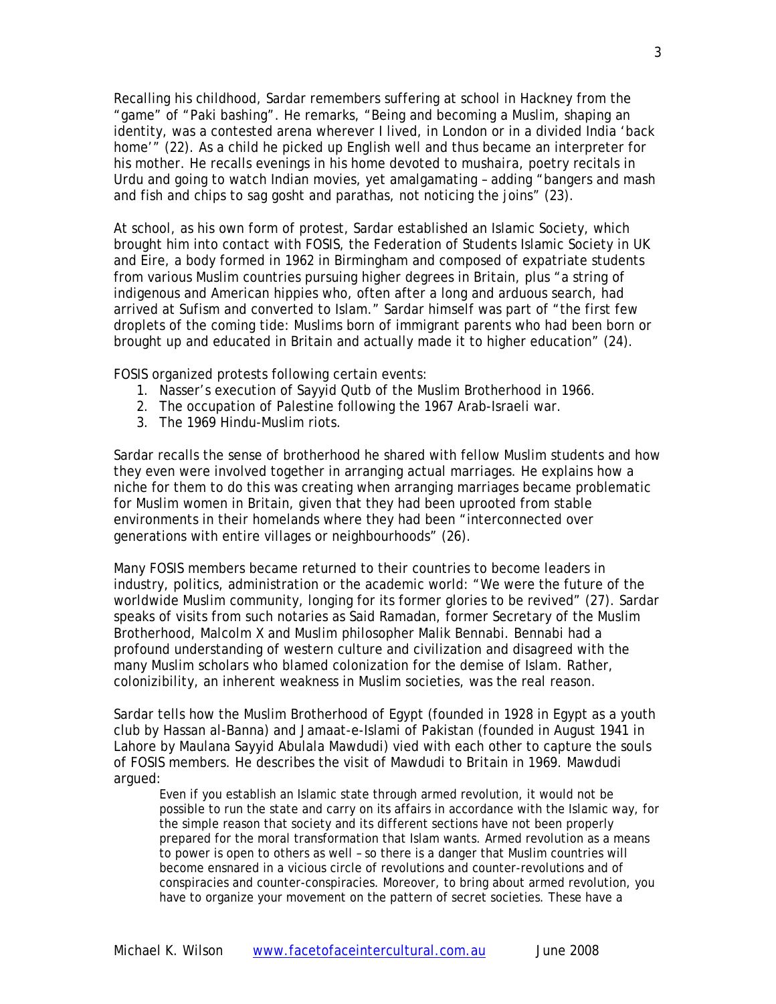Recalling his childhood, Sardar remembers suffering at school in Hackney from the "game" of "Paki bashing". He remarks, "Being and becoming a Muslim, shaping an identity, was a contested arena wherever I lived, in London or in a divided India 'back home'" (22). As a child he picked up English well and thus became an interpreter for his mother. He recalls evenings in his home devoted to *mushaira*, poetry recitals in Urdu and going to watch Indian movies, yet amalgamating – adding "bangers and mash and fish and chips to sag gosht and parathas, not noticing the joins" (23).

At school, as his own form of protest, Sardar established an Islamic Society, which brought him into contact with FOSIS, the Federation of Students Islamic Society in UK and Eire, a body formed in 1962 in Birmingham and composed of expatriate students from various Muslim countries pursuing higher degrees in Britain, plus "a string of indigenous and American hippies who, often after a long and arduous search, had arrived at Sufism and converted to Islam." Sardar himself was part of "the first few droplets of the coming tide: Muslims born of immigrant parents who had been born or brought up and educated in Britain and actually made it to higher education" (24).

FOSIS organized protests following certain events:

- 1. Nasser's execution of Sayyid Qutb of the Muslim Brotherhood in 1966.
- 2. The occupation of Palestine following the 1967 Arab-Israeli war.
- 3. The 1969 Hindu-Muslim riots.

Sardar recalls the sense of brotherhood he shared with fellow Muslim students and how they even were involved together in arranging actual marriages. He explains how a niche for them to do this was creating when arranging marriages became problematic for Muslim women in Britain, given that they had been uprooted from stable environments in their homelands where they had been "interconnected over generations with entire villages or neighbourhoods" (26).

Many FOSIS members became returned to their countries to become leaders in industry, politics, administration or the academic world: "We were the future of the worldwide Muslim community, longing for its former glories to be revived" (27). Sardar speaks of visits from such notaries as Said Ramadan, former Secretary of the Muslim Brotherhood, Malcolm X and Muslim philosopher Malik Bennabi. Bennabi had a profound understanding of western culture and civilization and disagreed with the many Muslim scholars who blamed colonization for the demise of Islam. Rather, colonizibility, an inherent weakness in Muslim societies, was the real reason.

Sardar tells how the Muslim Brotherhood of Egypt (founded in 1928 in Egypt as a youth club by Hassan al-Banna) and Jamaat-e-Islami of Pakistan (founded in August 1941 in Lahore by Maulana Sayyid Abulala Mawdudi) vied with each other to capture the souls of FOSIS members. He describes the visit of Mawdudi to Britain in 1969. Mawdudi argued:

Even if you establish an Islamic state through armed revolution, it would not be possible to run the state and carry on its affairs in accordance with the Islamic way, for the simple reason that society and its different sections have not been properly prepared for the moral transformation that Islam wants. Armed revolution as a means to power is open to others as well – so there is a danger that Muslim countries will become ensnared in a vicious circle of revolutions and counter-revolutions and of conspiracies and counter-conspiracies. Moreover, to bring about armed revolution, you have to organize your movement on the pattern of secret societies. These have a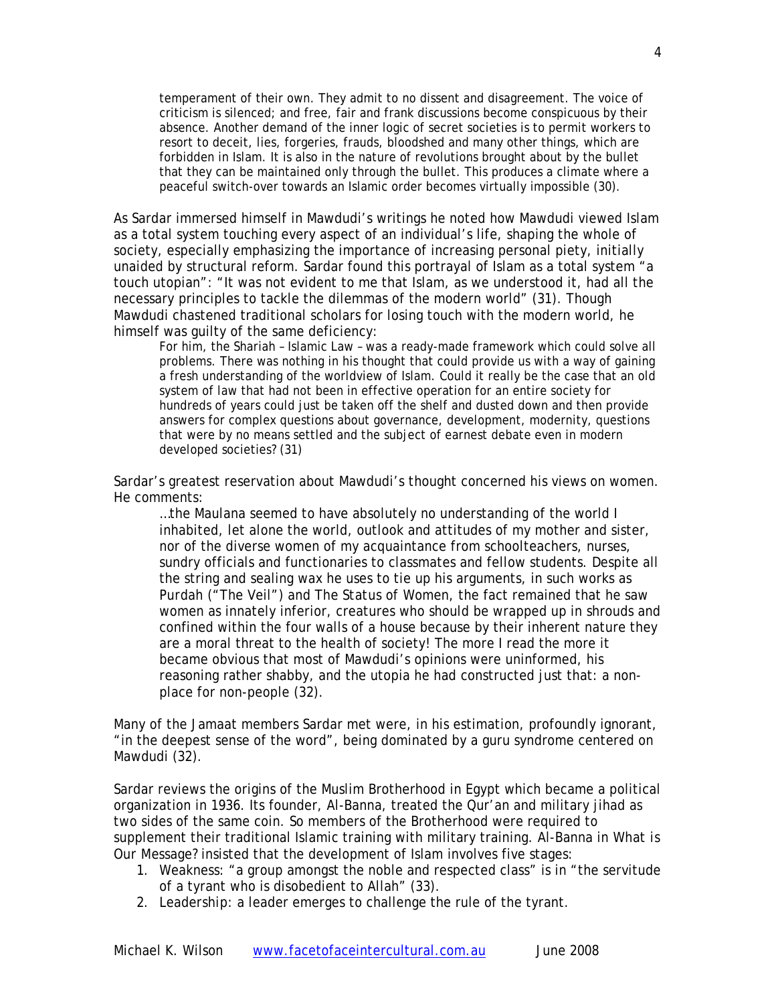temperament of their own. They admit to no dissent and disagreement. The voice of criticism is silenced; and free, fair and frank discussions become conspicuous by their absence. Another demand of the inner logic of secret societies is to permit workers to resort to deceit, lies, forgeries, frauds, bloodshed and many other things, which are forbidden in Islam. It is also in the nature of revolutions brought about by the bullet that they can be maintained only through the bullet. This produces a climate where a peaceful switch-over towards an Islamic order becomes virtually impossible (30).

As Sardar immersed himself in Mawdudi's writings he noted how Mawdudi viewed Islam as a total system touching every aspect of an individual's life, shaping the whole of society, especially emphasizing the importance of increasing personal piety, initially unaided by structural reform. Sardar found this portrayal of Islam as a total system "a touch utopian": "It was not evident to me that Islam, as we understood it, had all the necessary principles to tackle the dilemmas of the modern world" (31). Though Mawdudi chastened traditional scholars for losing touch with the modern world, he himself was guilty of the same deficiency:

For him, the Shariah – Islamic Law – was a ready-made framework which could solve all problems. There was nothing in his thought that could provide us with a way of gaining a fresh understanding of the worldview of Islam. Could it really be the case that an old system of law that had not been in effective operation for an entire society for hundreds of years could just be taken off the shelf and dusted down and then provide answers for complex questions about governance, development, modernity, questions that were by no means settled and the subject of earnest debate even in modern developed societies? (31)

Sardar's greatest reservation about Mawdudi's thought concerned his views on women. He comments:

…the Maulana seemed to have absolutely no understanding of the world I inhabited, let alone the world, outlook and attitudes of my mother and sister, nor of the diverse women of my acquaintance from schoolteachers, nurses, sundry officials and functionaries to classmates and fellow students. Despite all the string and sealing wax he uses to tie up his arguments, in such works as *Purdah* ("The Veil") and *The Status of Women*, the fact remained that he saw women as innately inferior, creatures who should be wrapped up in shrouds and confined within the four walls of a house because by their inherent nature they are a moral threat to the health of society! The more I read the more it became obvious that most of Mawdudi's opinions were uninformed, his reasoning rather shabby, and the utopia he had constructed just that: a nonplace for non-people (32).

Many of the Jamaat members Sardar met were, in his estimation, profoundly ignorant, "in the deepest sense of the word", being dominated by a guru syndrome centered on Mawdudi (32).

Sardar reviews the origins of the Muslim Brotherhood in Egypt which became a political organization in 1936. Its founder, Al-Banna, treated the Qur'an and military jihad as two sides of the same coin. So members of the Brotherhood were required to supplement their traditional Islamic training with military training. Al-Banna in *What is Our Message?* insisted that the development of Islam involves five stages:

- 1. *Weakness*: "a group amongst the noble and respected class" is in "the servitude of a tyrant who is disobedient to Allah" (33).
- 2. *Leadership*: a leader emerges to challenge the rule of the tyrant.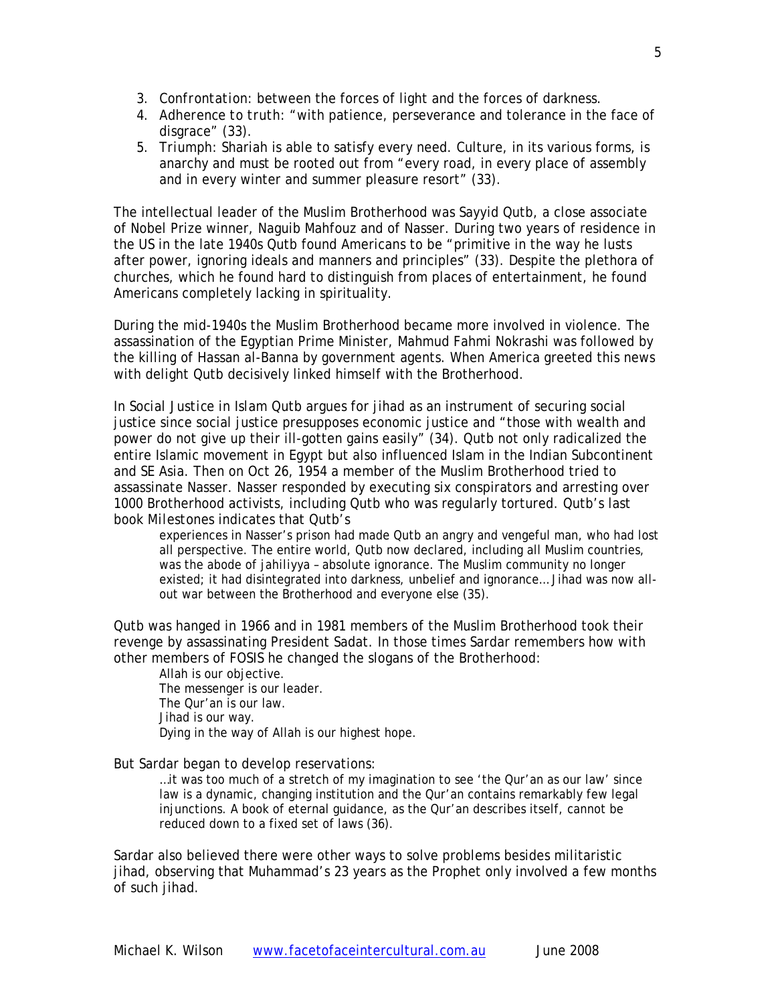- 3. *Confrontation*: between the forces of light and the forces of darkness.
- 4. *Adherence to truth*: "with patience, perseverance and tolerance in the face of disgrace" (33).
- 5. *Triumph*: Shariah is able to satisfy every need. Culture, in its various forms, is anarchy and must be rooted out from "every road, in every place of assembly and in every winter and summer pleasure resort" (33).

The intellectual leader of the Muslim Brotherhood was Sayyid Qutb, a close associate of Nobel Prize winner, Naguib Mahfouz and of Nasser. During two years of residence in the US in the late 1940s Qutb found Americans to be "primitive in the way he lusts after power, ignoring ideals and manners and principles" (33). Despite the plethora of churches, which he found hard to distinguish from places of entertainment, he found Americans completely lacking in spirituality.

During the mid-1940s the Muslim Brotherhood became more involved in violence. The assassination of the Egyptian Prime Minister, Mahmud Fahmi Nokrashi was followed by the killing of Hassan al-Banna by government agents. When America greeted this news with delight Qutb decisively linked himself with the Brotherhood.

In *Social Justice in Islam* Qutb argues for jihad as an instrument of securing social justice since social justice presupposes economic justice and "those with wealth and power do not give up their ill-gotten gains easily" (34). Qutb not only radicalized the entire Islamic movement in Egypt but also influenced Islam in the Indian Subcontinent and SE Asia. Then on Oct 26, 1954 a member of the Muslim Brotherhood tried to assassinate Nasser. Nasser responded by executing six conspirators and arresting over 1000 Brotherhood activists, including Qutb who was regularly tortured. Qutb's last book *Milestones* indicates that Qutb's

experiences in Nasser's prison had made Qutb an angry and vengeful man, who had lost all perspective. The entire world, Qutb now declared, including all Muslim countries, was the abode of *jahiliyya* – absolute ignorance. The Muslim community no longer existed; it had disintegrated into darkness, unbelief and ignorance… Jihad was now allout war between the Brotherhood and everyone else (35).

Qutb was hanged in 1966 and in 1981 members of the Muslim Brotherhood took their revenge by assassinating President Sadat. In those times Sardar remembers how with other members of FOSIS he changed the slogans of the Brotherhood:

Allah is our objective. The messenger is our leader. The Qur'an is our law. Jihad is our way. Dying in the way of Allah is our highest hope.

But Sardar began to develop reservations:

…it was too much of a stretch of my imagination to see 'the Qur'an as our law' since law is a dynamic, changing institution and the Qur'an contains remarkably few legal injunctions. A book of eternal guidance, as the Qur'an describes itself, cannot be reduced down to a fixed set of laws (36).

Sardar also believed there were other ways to solve problems besides militaristic jihad, observing that Muhammad's 23 years as the Prophet only involved a few months of such jihad.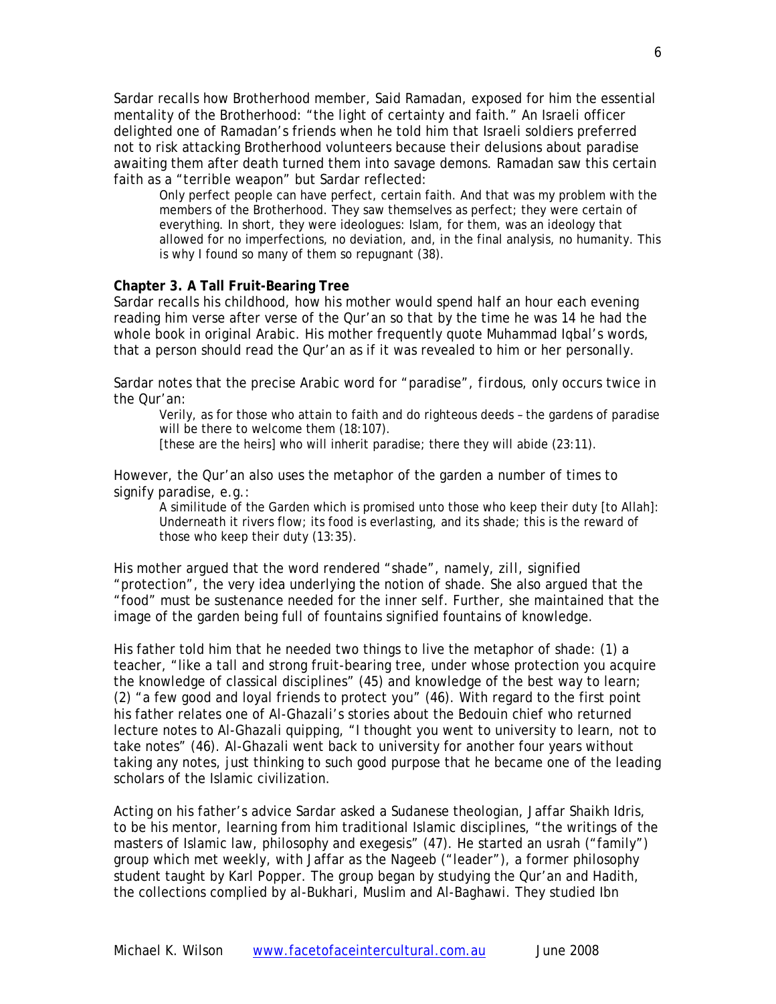Sardar recalls how Brotherhood member, Said Ramadan, exposed for him the essential mentality of the Brotherhood: "the light of certainty and faith." An Israeli officer delighted one of Ramadan's friends when he told him that Israeli soldiers preferred not to risk attacking Brotherhood volunteers because their delusions about paradise awaiting them after death turned them into savage demons. Ramadan saw this certain faith as a "terrible weapon" but Sardar reflected:

Only perfect people can have perfect, certain faith. And that was my problem with the members of the Brotherhood. They saw themselves as perfect; they were certain of everything. In short, they were ideologues: Islam, for them, was an ideology that allowed for no imperfections, no deviation, and, in the final analysis, no humanity. This is why I found so many of them so repugnant (38).

# **Chapter 3. A Tall Fruit-Bearing Tree**

Sardar recalls his childhood, how his mother would spend half an hour each evening reading him verse after verse of the Qur'an so that by the time he was 14 he had the whole book in original Arabic. His mother frequently quote Muhammad Iqbal's words, that a person should read the Qur'an as if it was revealed to him or her personally.

Sardar notes that the precise Arabic word for "paradise", *firdous*, only occurs twice in the Qur'an:

Verily, as for those who attain to faith and do righteous deeds – the gardens of paradise will be there to welcome them (18:107).

[these are the heirs] who will inherit paradise; there they will abide (23:11).

However, the Qur'an also uses the metaphor of the garden a number of times to signify paradise, e.g.:

A similitude of the Garden which is promised unto those who keep their duty [to Allah]: Underneath it rivers flow; its food is everlasting, and its shade; this is the reward of those who keep their duty (13:35).

His mother argued that the word rendered "shade", namely, *zill*, signified "protection", the very idea underlying the notion of shade. She also argued that the "food" must be sustenance needed for the inner self. Further, she maintained that the image of the garden being full of fountains signified fountains of knowledge.

His father told him that he needed two things to live the metaphor of shade: (1) a teacher, "like a tall and strong fruit-bearing tree, under whose protection you acquire the knowledge of classical disciplines" (45) and knowledge of the best way to learn; (2) "a few good and loyal friends to protect you" (46). With regard to the first point his father relates one of Al-Ghazali's stories about the Bedouin chief who returned lecture notes to Al-Ghazali quipping, "I thought you went to university to learn, not to take notes" (46). Al-Ghazali went back to university for another four years without taking any notes, just thinking to such good purpose that he became one of the leading scholars of the Islamic civilization.

Acting on his father's advice Sardar asked a Sudanese theologian, Jaffar Shaikh Idris, to be his mentor, learning from him traditional Islamic disciplines, "the writings of the masters of Islamic law, philosophy and exegesis" (47). He started an *usrah* ("family") group which met weekly, with Jaffar as the *Nageeb* ("leader"), a former philosophy student taught by Karl Popper. The group began by studying the Qur'an and Hadith, the collections complied by al-Bukhari, Muslim and Al-Baghawi. They studied Ibn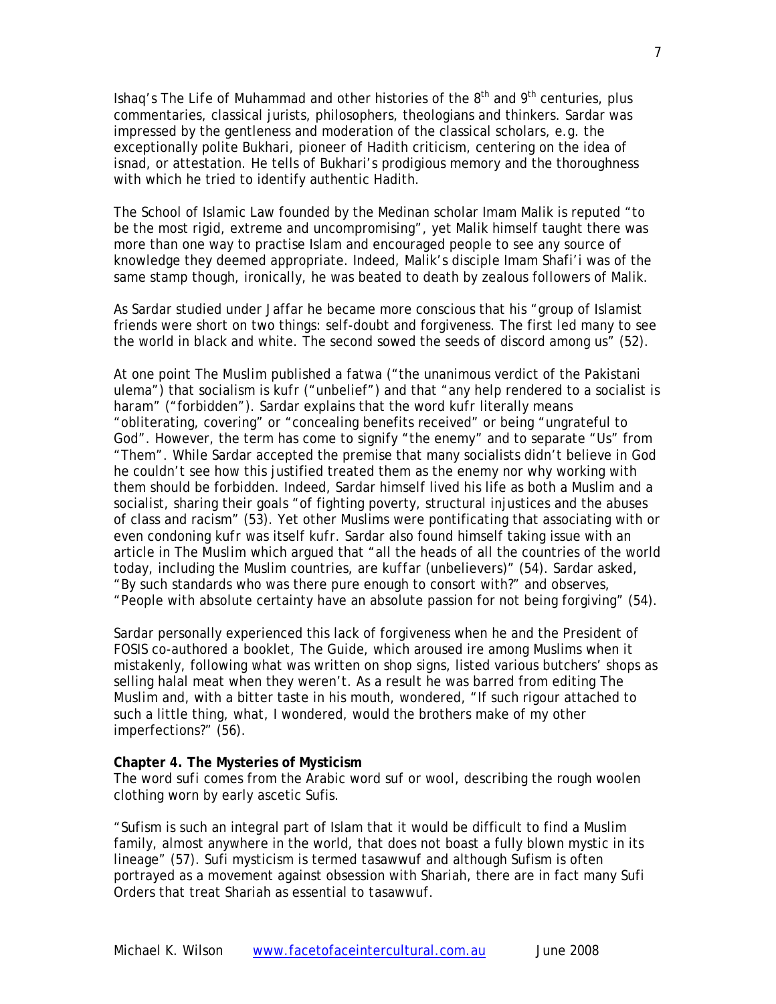Ishaq's *The Life of Muhammad* and other histories of the 8<sup>th</sup> and 9<sup>th</sup> centuries, plus commentaries, classical jurists, philosophers, theologians and thinkers. Sardar was impressed by the gentleness and moderation of the classical scholars, e.g. the exceptionally polite Bukhari, pioneer of Hadith criticism, centering on the idea of *isnad*, or attestation. He tells of Bukhari's prodigious memory and the thoroughness with which he tried to identify authentic Hadith.

The School of Islamic Law founded by the Medinan scholar Imam Malik is reputed "to be the most rigid, extreme and uncompromising", yet Malik himself taught there was more than one way to practise Islam and encouraged people to see any source of knowledge they deemed appropriate. Indeed, Malik's disciple Imam Shafi'i was of the same stamp though, ironically, he was beated to death by zealous followers of Malik.

As Sardar studied under Jaffar he became more conscious that his "group of Islamist friends were short on two things: self-doubt and forgiveness. The first led many to see the world in black and white. The second sowed the seeds of discord among us" (52).

At one point *The Muslim* published a fatwa ("the unanimous verdict of the Pakistani ulema") that socialism is *kufr* ("unbelief") and that "any help rendered to a socialist is *haram*" ("forbidden"). Sardar explains that the word *kufr* literally means "obliterating, covering" or "concealing benefits received" or being "ungrateful to God". However, the term has come to signify "the enemy" and to separate "Us" from "Them". While Sardar accepted the premise that many socialists didn't believe in God he couldn't see how this justified treated them as the enemy nor why working with them should be forbidden. Indeed, Sardar himself lived his life as both a Muslim and a socialist, sharing their goals "of fighting poverty, structural injustices and the abuses of class and racism" (53). Yet other Muslims were pontificating that associating with or even condoning *kufr* was itself *kufr*. Sardar also found himself taking issue with an article in *The Muslim* which argued that "all the heads of all the countries of the world today, including the Muslim countries, are *kuffar* (unbelievers)" (54). Sardar asked, "By such standards who was there pure enough to consort with?" and observes, "People with absolute certainty have an absolute passion for not being forgiving" (54).

Sardar personally experienced this lack of forgiveness when he and the President of FOSIS co-authored a booklet, *The Guide*, which aroused ire among Muslims when it mistakenly, following what was written on shop signs, listed various butchers' shops as selling halal meat when they weren't. As a result he was barred from editing *The Muslim* and, with a bitter taste in his mouth, wondered, "If such rigour attached to such a little thing, what, I wondered, would the brothers make of my other imperfections?" (56).

# **Chapter 4. The Mysteries of Mysticism**

The word *sufi* comes from the Arabic word *suf* or wool, describing the rough woolen clothing worn by early ascetic Sufis.

"Sufism is such an integral part of Islam that it would be difficult to find a Muslim family, almost anywhere in the world, that does not boast a fully blown mystic in its lineage" (57). Sufi mysticism is termed *tasawwuf* and although Sufism is often portrayed as a movement against obsession with Shariah, there are in fact many Sufi Orders that treat Shariah as essential to *tasawwuf*.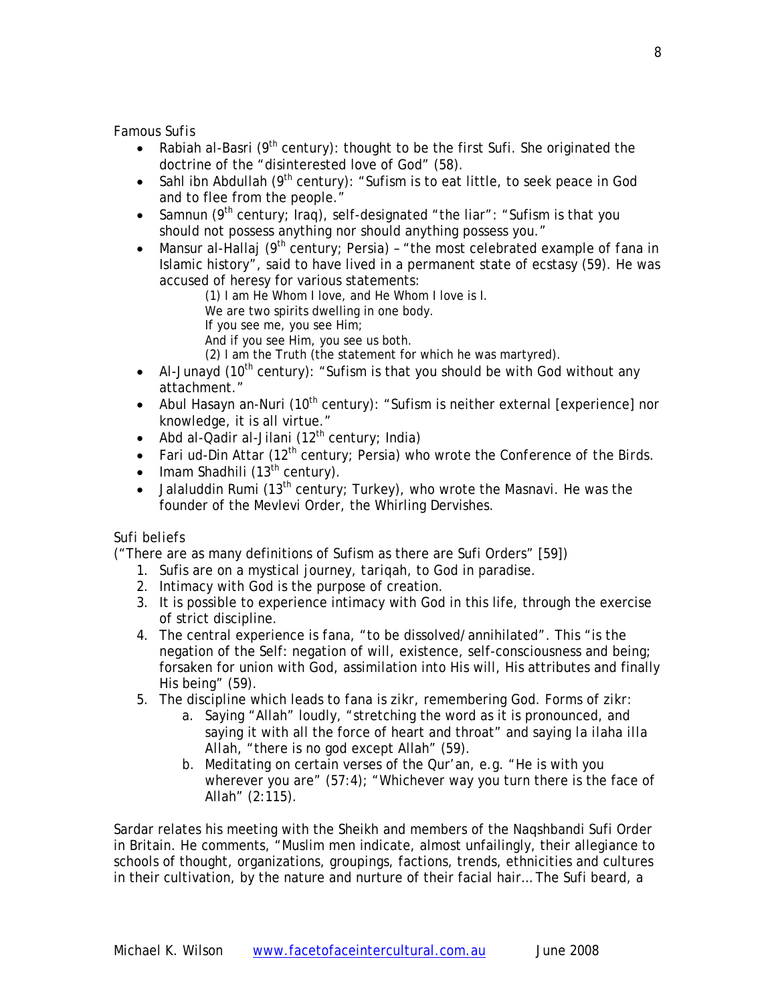# *Famous Sufis*

- Rabiah al-Basri ( $9<sup>th</sup>$  century): thought to be the first Sufi. She originated the doctrine of the "disinterested love of God" (58).
- Sahl ibn Abdullah ( $9<sup>th</sup>$  century): "Sufism is to eat little, to seek peace in God and to flee from the people."
- Samnun ( $9<sup>th</sup>$  century; Iraq), self-designated "the liar": "Sufism is that you should not possess anything nor should anything possess you."
- Mansur al-Hallaj (9<sup>th</sup> century; Persia) "the most celebrated example of *fana* in Islamic history", said to have lived in a permanent state of ecstasy (59). He was accused of heresy for various statements:

(1) I am He Whom I love, and He Whom I love is I.

We are two spirits dwelling in one body.

If you see me, you see Him;

And if you see Him, you see us both.

(2) I am the Truth (the statement for which he was martyred).

- Al-Junayd (10<sup>th</sup> century): "Sufism is that you should be with God without any attachment."
- Abul Hasayn an-Nuri (10<sup>th</sup> century): "Sufism is neither external [experience] nor knowledge, it is all virtue."
- Abd al-Qadir al-Jilani (12<sup>th</sup> century; India)
- Fari ud-Din Attar (12<sup>th</sup> century; Persia) who wrote the *Conference of the Birds*.
- Imam Shadhili  $(13<sup>th</sup> century)$ .
- Jalaluddin Rumi (13<sup>th</sup> century; Turkey), who wrote the *Masnavi*. He was the founder of the Mevlevi Order, the Whirling Dervishes.

# *Sufi beliefs*

("There are as many definitions of Sufism as there are Sufi Orders" [59])

- 1. Sufis are on a mystical journey, *tariqah*, to God in paradise.
- 2. Intimacy with God is the purpose of creation.
- 3. It is possible to experience intimacy with God in this life, through the exercise of strict discipline.
- 4. The central experience is *fana*, "to be dissolved/annihilated". This "is the negation of the Self: negation of will, existence, self-consciousness and being; forsaken for union with God, assimilation into His will, His attributes and finally His being" (59).
- 5. The discipline which leads to *fana* is *zikr*, remembering God. Forms of *zikr*:
	- a. Saying "Allah" loudly, "stretching the word as it is pronounced, and saying it with all the force of heart and throat" and saying *la ilaha illa Allah*, "there is no god except Allah" (59).
	- b. Meditating on certain verses of the Qur'an, e.g. "He is with you wherever you are" (57:4); "Whichever way you turn there is the face of Allah" (2:115).

Sardar relates his meeting with the Sheikh and members of the Naqshbandi Sufi Order in Britain. He comments, "Muslim men indicate, almost unfailingly, their allegiance to schools of thought, organizations, groupings, factions, trends, ethnicities and cultures in their cultivation, by the nature and nurture of their facial hair… The Sufi beard, a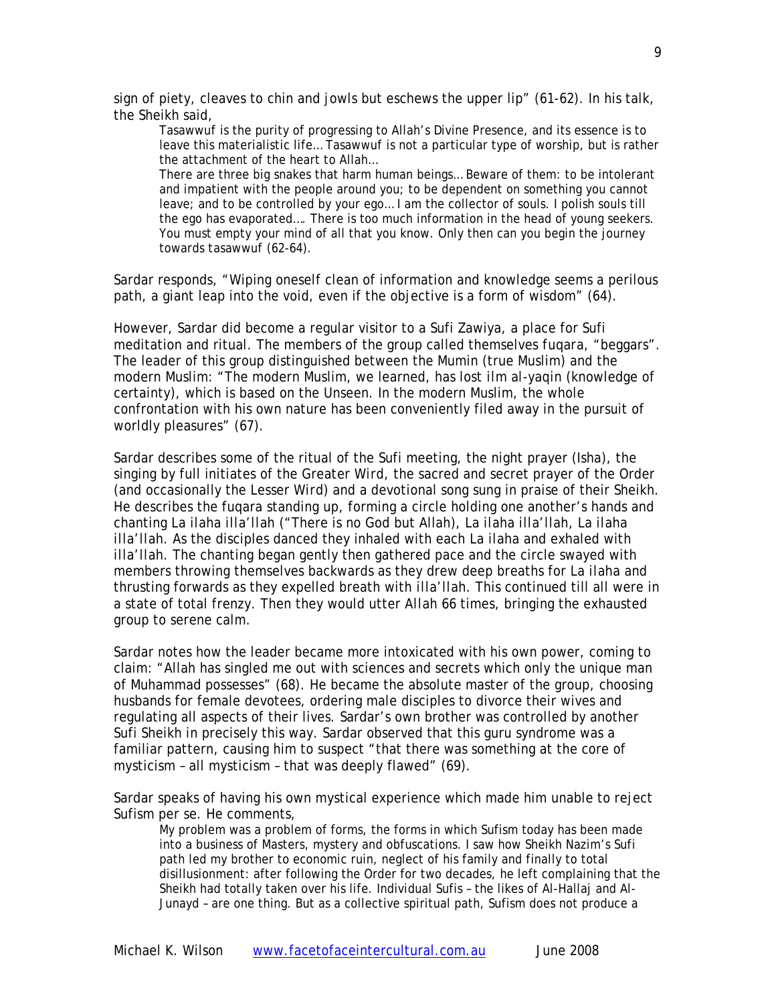sign of piety, cleaves to chin and jowls but eschews the upper lip" (61-62). In his talk, the Sheikh said,

*Tasawwuf* is the purity of progressing to Allah's Divine Presence, and its essence is to leave this materialistic life… *Tasawwuf* is not a particular type of worship, but is rather the attachment of the heart to Allah…

There are three big snakes that harm human beings… Beware of them: to be intolerant and impatient with the people around you; to be dependent on something you cannot leave; and to be controlled by your ego… I am the collector of souls. I polish souls till the ego has evaporated…. There is too much information in the head of young seekers. You must empty your mind of all that you know. Only then can you begin the journey towards *tasawwuf* (62-64).

Sardar responds, "Wiping oneself clean of information and knowledge seems a perilous path, a giant leap into the void, even if the objective is a form of wisdom" (64).

However, Sardar did become a regular visitor to a Sufi Zawiya, a place for Sufi meditation and ritual. The members of the group called themselves *fuqar*a, "beggars". The leader of this group distinguished between the Mumin (true Muslim) and the modern Muslim: "The modern Muslim, we learned, has lost *ilm al-yaqin* (knowledge of certainty), which is based on the Unseen. In the modern Muslim, the whole confrontation with his own nature has been conveniently filed away in the pursuit of worldly pleasures" (67).

Sardar describes some of the ritual of the Sufi meeting, the night prayer (Isha), the singing by full initiates of the Greater *Wird*, the sacred and secret prayer of the Order (and occasionally the Lesser *Wird*) and a devotional song sung in praise of their Sheikh. He describes the fuqara standing up, forming a circle holding one another's hands and chanting *La ilaha illa'llah* ("There is no God but Allah), *La ilaha illa'llah, La ilaha illa'llah*. As the disciples danced they inhaled with each *La ilaha* and exhaled with *illa'llah*. The chanting began gently then gathered pace and the circle swayed with members throwing themselves backwards as they drew deep breaths for *La ilaha* and thrusting forwards as they expelled breath with *illa'llah*. This continued till all were in a state of total frenzy. Then they would utter *Allah* 66 times, bringing the exhausted group to serene calm.

Sardar notes how the leader became more intoxicated with his own power, coming to claim: "Allah has singled me out with sciences and secrets which only the unique man of Muhammad possesses" (68). He became the absolute master of the group, choosing husbands for female devotees, ordering male disciples to divorce their wives and regulating all aspects of their lives. Sardar's own brother was controlled by another Sufi Sheikh in precisely this way. Sardar observed that this guru syndrome was a familiar pattern, causing him to suspect "that there was something at the core of mysticism – all mysticism – that was deeply flawed" (69).

Sardar speaks of having his own mystical experience which made him unable to reject Sufism per se. He comments,

My problem was a problem of forms, the forms in which Sufism today has been made into a business of Masters, mystery and obfuscations. I saw how Sheikh Nazim's Sufi path led my brother to economic ruin, neglect of his family and finally to total disillusionment: after following the Order for two decades, he left complaining that the Sheikh had totally taken over his life. Individual Sufis – the likes of Al-Hallaj and Al-Junayd – are one thing. But as a collective spiritual path, Sufism does not produce a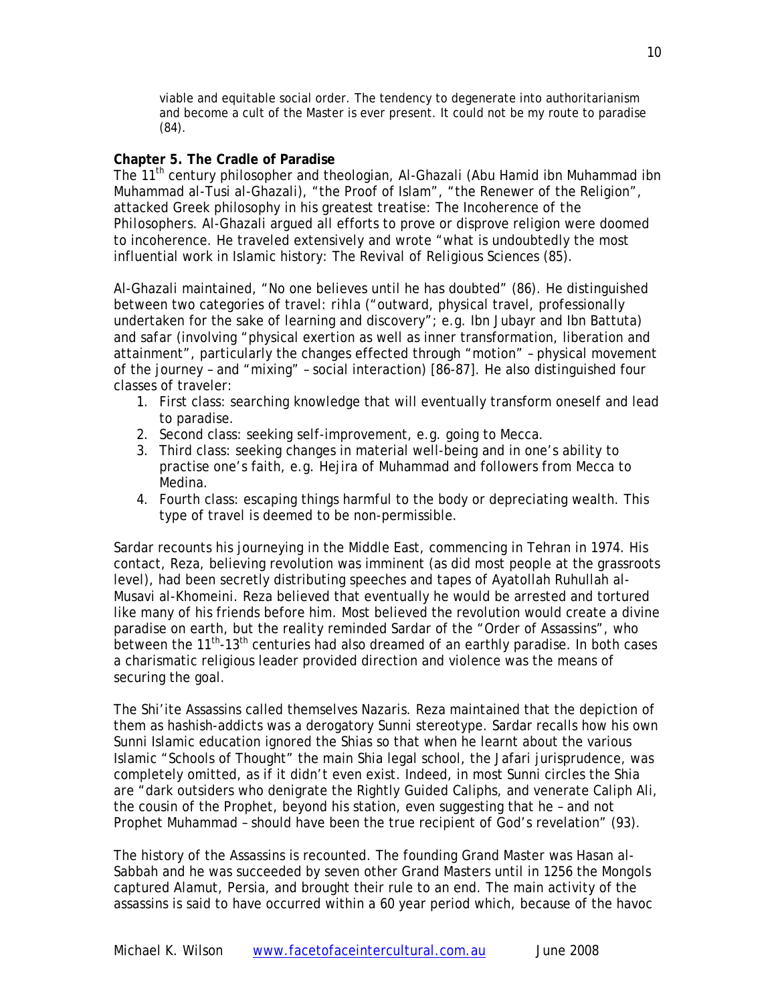viable and equitable social order. The tendency to degenerate into authoritarianism and become a cult of the Master is ever present. It could not be my route to paradise (84).

# **Chapter 5. The Cradle of Paradise**

The 11<sup>th</sup> century philosopher and theologian, Al-Ghazali (Abu Hamid ibn Muhammad ibn Muhammad al-Tusi al-Ghazali), "the Proof of Islam", "the Renewer of the Religion", attacked Greek philosophy in his greatest treatise: *The Incoherence of the Philosophers*. Al-Ghazali argued all efforts to prove or disprove religion were doomed to incoherence. He traveled extensively and wrote "what is undoubtedly the most influential work in Islamic history: *The Revival of Religious Sciences* (85).

Al-Ghazali maintained, "No one believes until he has doubted" (86). He distinguished between two categories of travel: *rihla* ("outward, physical travel, professionally undertaken for the sake of learning and discovery"; e.g. Ibn Jubayr and Ibn Battuta) and *safar* (involving "physical exertion as well as inner transformation, liberation and attainment", particularly the changes effected through "motion" – physical movement of the journey – and "mixing" – social interaction) [86-87]. He also distinguished four classes of traveler:

- 1. First class: searching knowledge that will eventually transform oneself and lead to paradise.
- 2. Second class: seeking self-improvement, e.g. going to Mecca.
- 3. Third class: seeking changes in material well-being and in one's ability to practise one's faith, e.g. Hejira of Muhammad and followers from Mecca to Medina.
- 4. Fourth class: escaping things harmful to the body or depreciating wealth. This type of travel is deemed to be non-permissible.

Sardar recounts his journeying in the Middle East, commencing in Tehran in 1974. His contact, Reza, believing revolution was imminent (as did most people at the grassroots level), had been secretly distributing speeches and tapes of Ayatollah Ruhullah al-Musavi al-Khomeini. Reza believed that eventually he would be arrested and tortured like many of his friends before him. Most believed the revolution would create a divine paradise on earth, but the reality reminded Sardar of the "Order of Assassins", who between the  $11<sup>th</sup>$ -13<sup>th</sup> centuries had also dreamed of an earthly paradise. In both cases a charismatic religious leader provided direction and violence was the means of securing the goal.

The Shi'ite Assassins called themselves Nazaris. Reza maintained that the depiction of them as hashish-addicts was a derogatory Sunni stereotype. Sardar recalls how his own Sunni Islamic education ignored the Shias so that when he learnt about the various Islamic "Schools of Thought" the main Shia legal school, the Jafari jurisprudence, was completely omitted, as if it didn't even exist. Indeed, in most Sunni circles the Shia are "dark outsiders who denigrate the Rightly Guided Caliphs, and venerate Caliph Ali, the cousin of the Prophet, beyond his station, even suggesting that he – and not Prophet Muhammad – should have been the true recipient of God's revelation" (93).

The history of the Assassins is recounted. The founding Grand Master was Hasan al-Sabbah and he was succeeded by seven other Grand Masters until in 1256 the Mongols captured Alamut, Persia, and brought their rule to an end. The main activity of the assassins is said to have occurred within a 60 year period which, because of the havoc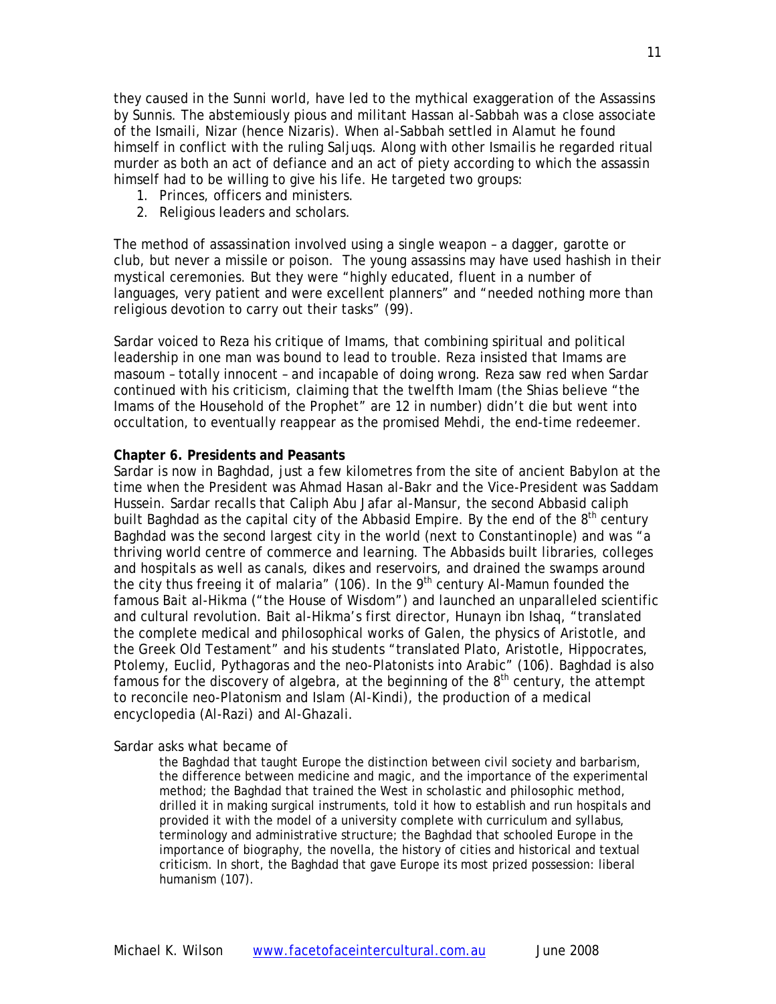they caused in the Sunni world, have led to the mythical exaggeration of the Assassins by Sunnis. The abstemiously pious and militant Hassan al-Sabbah was a close associate of the Ismaili, Nizar (hence Nizaris). When al-Sabbah settled in Alamut he found himself in conflict with the ruling Saljuqs. Along with other Ismailis he regarded ritual murder as both an act of defiance and an act of piety according to which the assassin himself had to be willing to give his life. He targeted two groups:

- 1. Princes, officers and ministers.
- 2. Religious leaders and scholars.

The method of assassination involved using a single weapon – a dagger, garotte or club, but never a missile or poison. The young assassins may have used hashish in their mystical ceremonies. But they were "highly educated, fluent in a number of languages, very patient and were excellent planners" and "needed nothing more than religious devotion to carry out their tasks" (99).

Sardar voiced to Reza his critique of Imams, that combining spiritual and political leadership in one man was bound to lead to trouble. Reza insisted that Imams are *masoum* – totally innocent – and incapable of doing wrong. Reza saw red when Sardar continued with his criticism, claiming that the twelfth Imam (the Shias believe "the Imams of the Household of the Prophet" are 12 in number) didn't die but went into occultation, to eventually reappear as the promised Mehdi, the end-time redeemer.

#### **Chapter 6. Presidents and Peasants**

Sardar is now in Baghdad, just a few kilometres from the site of ancient Babylon at the time when the President was Ahmad Hasan al-Bakr and the Vice-President was Saddam Hussein. Sardar recalls that Caliph Abu Jafar al-Mansur, the second Abbasid caliph built Baghdad as the capital city of the Abbasid Empire. By the end of the  $8<sup>th</sup>$  century Baghdad was the second largest city in the world (next to Constantinople) and was "a thriving world centre of commerce and learning. The Abbasids built libraries, colleges and hospitals as well as canals, dikes and reservoirs, and drained the swamps around the city thus freeing it of malaria" (106). In the  $9<sup>th</sup>$  century Al-Mamun founded the famous Bait al-Hikma ("the House of Wisdom") and launched an unparalleled scientific and cultural revolution. Bait al-Hikma's first director, Hunayn ibn Ishaq, "translated the complete medical and philosophical works of Galen, the physics of Aristotle, and the Greek Old Testament" and his students "translated Plato, Aristotle, Hippocrates, Ptolemy, Euclid, Pythagoras and the neo-Platonists into Arabic" (106). Baghdad is also famous for the discovery of algebra, at the beginning of the  $8<sup>th</sup>$  century, the attempt to reconcile neo-Platonism and Islam (Al-Kindi), the production of a medical encyclopedia (Al-Razi) and Al-Ghazali.

#### Sardar asks what became of

the Baghdad that taught Europe the distinction between civil society and barbarism, the difference between medicine and magic, and the importance of the experimental method; the Baghdad that trained the West in scholastic and philosophic method, drilled it in making surgical instruments, told it how to establish and run hospitals and provided it with the model of a university complete with curriculum and syllabus, terminology and administrative structure; the Baghdad that schooled Europe in the importance of biography, the novella, the history of cities and historical and textual criticism. In short, the Baghdad that gave Europe its most prized possession: liberal humanism (107).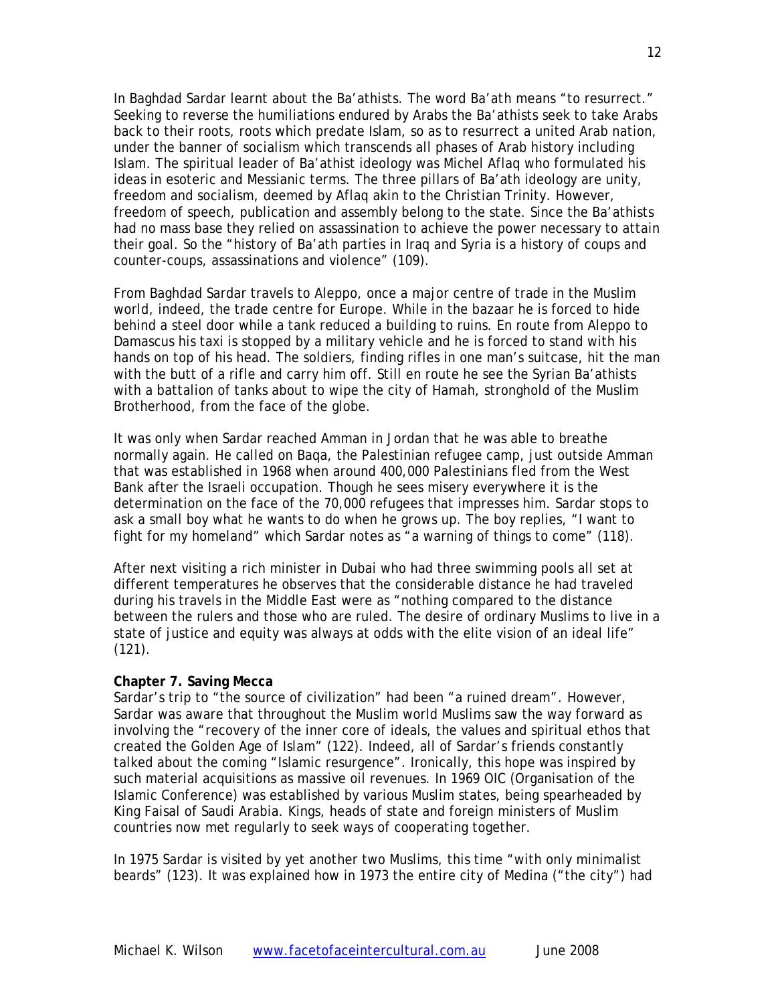In Baghdad Sardar learnt about the Ba'athists. The word *Ba'ath* means "to resurrect." Seeking to reverse the humiliations endured by Arabs the Ba'athists seek to take Arabs back to their roots, roots which predate Islam, so as to resurrect a united Arab nation, under the banner of socialism which transcends all phases of Arab history including Islam. The spiritual leader of Ba'athist ideology was Michel Aflaq who formulated his ideas in esoteric and Messianic terms. The three pillars of Ba'ath ideology are unity, freedom and socialism, deemed by Aflaq akin to the Christian Trinity. However, freedom of speech, publication and assembly belong to the state. Since the Ba'athists had no mass base they relied on assassination to achieve the power necessary to attain their goal. So the "history of Ba'ath parties in Iraq and Syria is a history of coups and counter-coups, assassinations and violence" (109).

From Baghdad Sardar travels to Aleppo, once a major centre of trade in the Muslim world, indeed, the trade centre for Europe. While in the bazaar he is forced to hide behind a steel door while a tank reduced a building to ruins. En route from Aleppo to Damascus his taxi is stopped by a military vehicle and he is forced to stand with his hands on top of his head. The soldiers, finding rifles in one man's suitcase, hit the man with the butt of a rifle and carry him off. Still en route he see the Syrian Ba'athists with a battalion of tanks about to wipe the city of Hamah, stronghold of the Muslim Brotherhood, from the face of the globe.

It was only when Sardar reached Amman in Jordan that he was able to breathe normally again. He called on Baqa, the Palestinian refugee camp, just outside Amman that was established in 1968 when around 400,000 Palestinians fled from the West Bank after the Israeli occupation. Though he sees misery everywhere it is the determination on the face of the 70,000 refugees that impresses him. Sardar stops to ask a small boy what he wants to do when he grows up. The boy replies, "I want to fight for my homeland" which Sardar notes as "a warning of things to come" (118).

After next visiting a rich minister in Dubai who had three swimming pools all set at different temperatures he observes that the considerable distance he had traveled during his travels in the Middle East were as "nothing compared to the distance between the rulers and those who are ruled. The desire of ordinary Muslims to live in a state of justice and equity was always at odds with the elite vision of an ideal life" (121).

# **Chapter 7. Saving Mecca**

Sardar's trip to "the source of civilization" had been "a ruined dream". However, Sardar was aware that throughout the Muslim world Muslims saw the way forward as involving the "recovery of the inner core of ideals, the values and spiritual ethos that created the Golden Age of Islam" (122). Indeed, all of Sardar's friends constantly talked about the coming "Islamic resurgence". Ironically, this hope was inspired by such material acquisitions as massive oil revenues. In 1969 OIC (Organisation of the Islamic Conference) was established by various Muslim states, being spearheaded by King Faisal of Saudi Arabia. Kings, heads of state and foreign ministers of Muslim countries now met regularly to seek ways of cooperating together.

In 1975 Sardar is visited by yet another two Muslims, this time "with only minimalist beards" (123). It was explained how in 1973 the entire city of Medina ("the city") had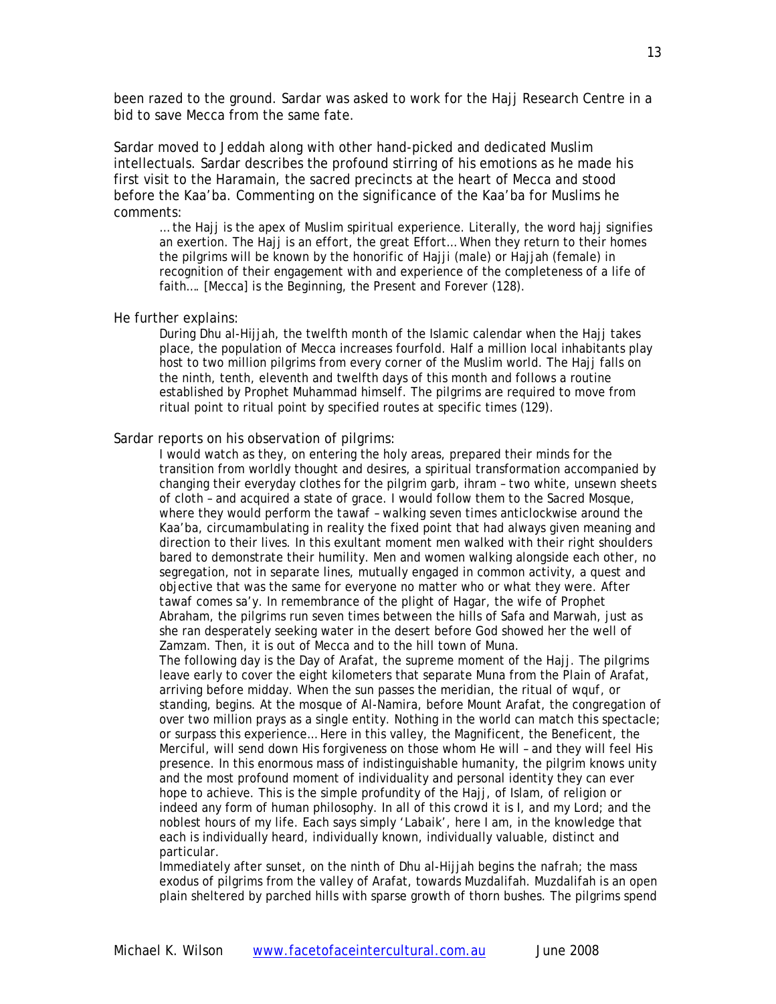been razed to the ground. Sardar was asked to work for the Hajj Research Centre in a bid to save Mecca from the same fate.

Sardar moved to Jeddah along with other hand-picked and dedicated Muslim intellectuals. Sardar describes the profound stirring of his emotions as he made his first visit to the Haramain, the sacred precincts at the heart of Mecca and stood before the Kaa'ba. Commenting on the significance of the Kaa'ba for Muslims he comments:

… the Hajj is the apex of Muslim spiritual experience. Literally, the word hajj signifies an exertion. The Hajj is an effort, the great Effort… When they return to their homes the pilgrims will be known by the honorific of Hajji (male) or Hajjah (female) in recognition of their engagement with and experience of the completeness of a life of faith…. [Mecca] is the Beginning, the Present and Forever (128).

#### He further explains:

During Dhu al-Hijjah, the twelfth month of the Islamic calendar when the Hajj takes place, the population of Mecca increases fourfold. Half a million local inhabitants play host to two million pilgrims from every corner of the Muslim world. The Hajj falls on the ninth, tenth, eleventh and twelfth days of this month and follows a routine established by Prophet Muhammad himself. The pilgrims are required to move from ritual point to ritual point by specified routes at specific times (129).

#### Sardar reports on his observation of pilgrims:

I would watch as they, on entering the holy areas, prepared their minds for the transition from worldly thought and desires, a spiritual transformation accompanied by changing their everyday clothes for the pilgrim garb, ihram – two white, unsewn sheets of cloth – and acquired a state of grace. I would follow them to the Sacred Mosque, where they would perform the *tawaf* – walking seven times anticlockwise around the Kaa'ba, circumambulating in reality the fixed point that had always given meaning and direction to their lives. In this exultant moment men walked with their right shoulders bared to demonstrate their humility. Men and women walking alongside each other, no segregation, not in separate lines, mutually engaged in common activity, a quest and objective that was the same for everyone no matter who or what they were. After *tawaf* comes *sa'y*. In remembrance of the plight of Hagar, the wife of Prophet Abraham, the pilgrims run seven times between the hills of Safa and Marwah, just as she ran desperately seeking water in the desert before God showed her the well of Zamzam. Then, it is out of Mecca and to the hill town of Muna. The following day is the Day of Arafat, the supreme moment of the Hajj. The pilgrims leave early to cover the eight kilometers that separate Muna from the Plain of Arafat, arriving before midday. When the sun passes the meridian, the ritual of *wquf*, or standing, begins. At the mosque of Al-Namira, before Mount Arafat, the congregation of over two million prays as a single entity. Nothing in the world can match this spectacle; or surpass this experience… Here in this valley, the Magnificent, the Beneficent, the Merciful, will send down His forgiveness on those whom He will – and they will feel His presence. In this enormous mass of indistinguishable humanity, the pilgrim knows unity and the most profound moment of individuality and personal identity they can ever hope to achieve. This is the simple profundity of the Hajj, of Islam, of religion or indeed any form of human philosophy. In all of this crowd it is I, and my Lord; and the noblest hours of my life. Each says simply '*Labaik*', here I am, in the knowledge that each is individually heard, individually known, individually valuable, distinct and particular.

Immediately after sunset, on the ninth of Dhu al-Hijjah begins the *nafrah*; the mass exodus of pilgrims from the valley of Arafat, towards Muzdalifah. Muzdalifah is an open plain sheltered by parched hills with sparse growth of thorn bushes. The pilgrims spend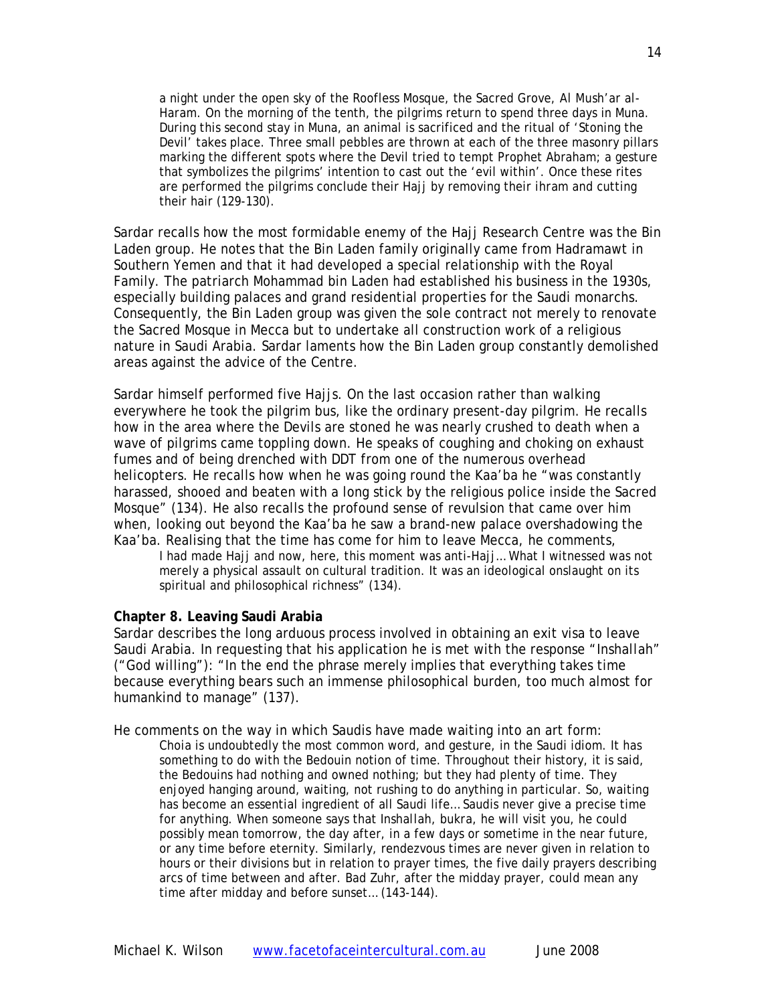a night under the open sky of the Roofless Mosque, the Sacred Grove, *Al Mush'ar al-Haram*. On the morning of the tenth, the pilgrims return to spend three days in Muna. During this second stay in Muna, an animal is sacrificed and the ritual of 'Stoning the Devil' takes place. Three small pebbles are thrown at each of the three masonry pillars marking the different spots where the Devil tried to tempt Prophet Abraham; a gesture that symbolizes the pilgrims' intention to cast out the 'evil within'. Once these rites are performed the pilgrims conclude their Hajj by removing their *ihram* and cutting their hair (129-130).

Sardar recalls how the most formidable enemy of the Hajj Research Centre was the Bin Laden group. He notes that the Bin Laden family originally came from Hadramawt in Southern Yemen and that it had developed a special relationship with the Royal Family. The patriarch Mohammad bin Laden had established his business in the 1930s, especially building palaces and grand residential properties for the Saudi monarchs. Consequently, the Bin Laden group was given the sole contract not merely to renovate the Sacred Mosque in Mecca but to undertake all construction work of a religious nature in Saudi Arabia. Sardar laments how the Bin Laden group constantly demolished areas against the advice of the Centre.

Sardar himself performed five Hajjs. On the last occasion rather than walking everywhere he took the pilgrim bus, like the ordinary present-day pilgrim. He recalls how in the area where the Devils are stoned he was nearly crushed to death when a wave of pilgrims came toppling down. He speaks of coughing and choking on exhaust fumes and of being drenched with DDT from one of the numerous overhead helicopters. He recalls how when he was going round the Kaa'ba he "was constantly harassed, shooed and beaten with a long stick by the religious police inside the Sacred Mosque" (134). He also recalls the profound sense of revulsion that came over him when, looking out beyond the Kaa'ba he saw a brand-new palace overshadowing the Kaa'ba. Realising that the time has come for him to leave Mecca, he comments,

I had made Hajj and now, here, this moment was anti-Hajj… What I witnessed was not merely a physical assault on cultural tradition. It was an ideological onslaught on its spiritual and philosophical richness" (134).

#### **Chapter 8. Leaving Saudi Arabia**

Sardar describes the long arduous process involved in obtaining an exit visa to leave Saudi Arabia. In requesting that his application he is met with the response "*Inshallah*" ("God willing"): "In the end the phrase merely implies that everything takes time because everything bears such an immense philosophical burden, too much almost for humankind to manage" (137).

He comments on the way in which Saudis have made waiting into an art form: *Choia* is undoubtedly the most common word, and gesture, in the Saudi idiom. It has something to do with the Bedouin notion of time. Throughout their history, it is said, the Bedouins had nothing and owned nothing; but they had plenty of time. They enjoyed hanging around, waiting, not rushing to do anything in particular. So, waiting has become an essential ingredient of all Saudi life… Saudis never give a precise time for anything. When someone says that *Inshallah, bukra*, he will visit you, he could possibly mean tomorrow, the day after, in a few days or sometime in the near future, or any time before eternity. Similarly, rendezvous times are never given in relation to hours or their divisions but in relation to prayer times, the five daily prayers describing arcs of time between and after. Bad Zuhr, after the midday prayer, could mean any time after midday and before sunset… (143-144).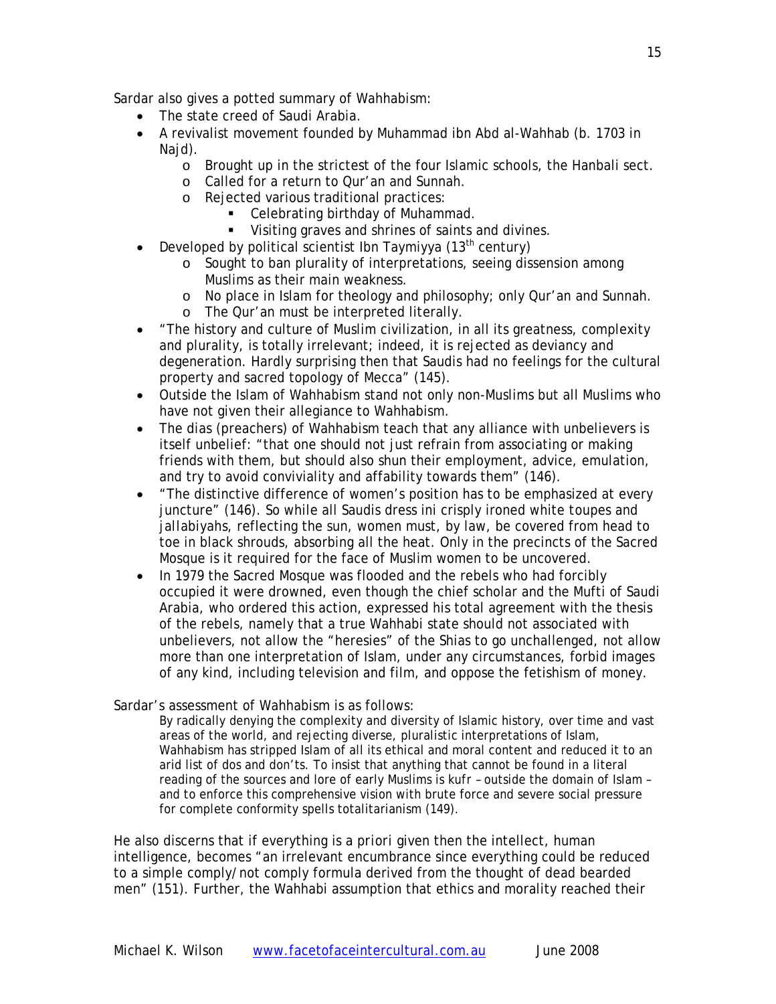Sardar also gives a potted summary of Wahhabism:

- The state creed of Saudi Arabia.
- A revivalist movement founded by Muhammad ibn Abd al-Wahhab (b. 1703 in Naid).
	- o Brought up in the strictest of the four Islamic schools, the Hanbali sect.
	- o Called for a return to Qur'an and Sunnah.
	- o Rejected various traditional practices:
		- Celebrating birthday of Muhammad.
		- Visiting graves and shrines of saints and divines.
	- Developed by political scientist Ibn Taymiyya  $(13<sup>th</sup>$  century)
		- o Sought to ban plurality of interpretations, seeing dissension among Muslims as their main weakness.
		- o No place in Islam for theology and philosophy; only Qur'an and Sunnah.
		- o The Qur'an must be interpreted literally.
- "The history and culture of Muslim civilization, in all its greatness, complexity and plurality, is totally irrelevant; indeed, it is rejected as deviancy and degeneration. Hardly surprising then that Saudis had no feelings for the cultural property and sacred topology of Mecca" (145).
- Outside the Islam of Wahhabism stand not only non-Muslims but all Muslims who have not given their allegiance to Wahhabism.
- The *dias* (preachers) of Wahhabism teach that any alliance with unbelievers is itself unbelief: "that one should not just refrain from associating or making friends with them, but should also shun their employment, advice, emulation, and try to avoid conviviality and affability towards them" (146).
- "The distinctive difference of women's position has to be emphasized at every juncture" (146). So while all Saudis dress ini crisply ironed white *toupes* and *jallabiyahs*, reflecting the sun, women must, by law, be covered from head to toe in black shrouds, absorbing all the heat. Only in the precincts of the Sacred Mosque is it required for the face of Muslim women to be uncovered.
- In 1979 the Sacred Mosque was flooded and the rebels who had forcibly occupied it were drowned, even though the chief scholar and the Mufti of Saudi Arabia, who ordered this action, expressed his total agreement with the thesis of the rebels, namely that a true Wahhabi state should not associated with unbelievers, not allow the "heresies" of the Shias to go unchallenged, not allow more than one interpretation of Islam, under any circumstances, forbid images of any kind, including television and film, and oppose the fetishism of money.

# Sardar's assessment of Wahhabism is as follows:

By radically denying the complexity and diversity of Islamic history, over time and vast areas of the world, and rejecting diverse, pluralistic interpretations of Islam, Wahhabism has stripped Islam of all its ethical and moral content and reduced it to an arid list of dos and don'ts. To insist that anything that cannot be found in a literal reading of the sources and lore of early Muslims is *kufr* – outside the domain of Islam – and to enforce this comprehensive vision with brute force and severe social pressure for complete conformity spells totalitarianism (149).

He also discerns that if everything is *a priori* given then the intellect, human intelligence, becomes "an irrelevant encumbrance since everything could be reduced to a simple comply/not comply formula derived from the thought of dead bearded men" (151). Further, the Wahhabi assumption that ethics and morality reached their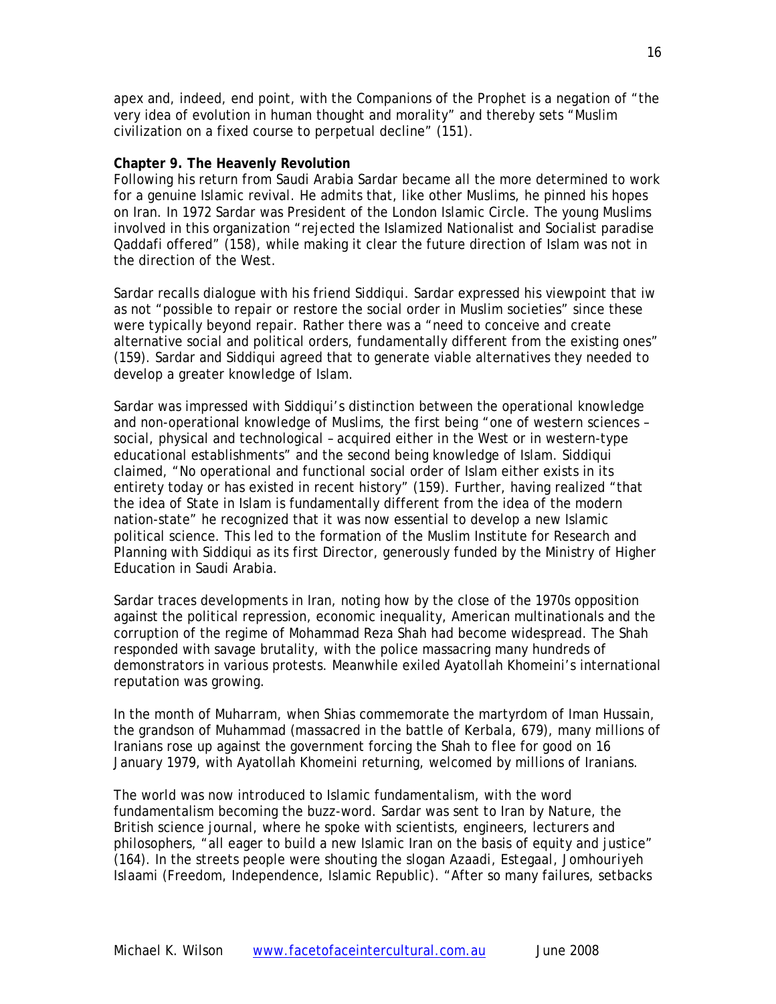apex and, indeed, end point, with the Companions of the Prophet is a negation of "the very idea of evolution in human thought and morality" and thereby sets "Muslim civilization on a fixed course to perpetual decline" (151).

### **Chapter 9. The Heavenly Revolution**

Following his return from Saudi Arabia Sardar became all the more determined to work for a genuine Islamic revival. He admits that, like other Muslims, he pinned his hopes on Iran. In 1972 Sardar was President of the London Islamic Circle. The young Muslims involved in this organization "rejected the Islamized Nationalist and Socialist paradise Qaddafi offered" (158), while making it clear the future direction of Islam was not in the direction of the West.

Sardar recalls dialogue with his friend Siddiqui. Sardar expressed his viewpoint that iw as not "possible to repair or restore the social order in Muslim societies" since these were typically beyond repair. Rather there was a "need to conceive and create alternative social and political orders, fundamentally different from the existing ones" (159). Sardar and Siddiqui agreed that to generate viable alternatives they needed to develop a greater knowledge of Islam.

Sardar was impressed with Siddiqui's distinction between the operational knowledge and non-operational knowledge of Muslims, the first being "one of western sciences – social, physical and technological – acquired either in the West or in western-type educational establishments" and the second being knowledge of Islam. Siddiqui claimed, "No operational and functional social order of Islam either exists in its entirety today or has existed in recent history" (159). Further, having realized "that the idea of State in Islam is fundamentally different from the idea of the modern nation-state" he recognized that it was now essential to develop a new Islamic political science. This led to the formation of the Muslim Institute for Research and Planning with Siddiqui as its first Director, generously funded by the Ministry of Higher Education in Saudi Arabia.

Sardar traces developments in Iran, noting how by the close of the 1970s opposition against the political repression, economic inequality, American multinationals and the corruption of the regime of Mohammad Reza Shah had become widespread. The Shah responded with savage brutality, with the police massacring many hundreds of demonstrators in various protests. Meanwhile exiled Ayatollah Khomeini's international reputation was growing.

In the month of Muharram, when Shias commemorate the martyrdom of Iman Hussain, the grandson of Muhammad (massacred in the battle of Kerbala, 679), many millions of Iranians rose up against the government forcing the Shah to flee for good on 16 January 1979, with Ayatollah Khomeini returning, welcomed by millions of Iranians.

The world was now introduced to Islamic fundamentalism, with the word fundamentalism becoming the buzz-word. Sardar was sent to Iran by *Nature*, the British science journal, where he spoke with scientists, engineers, lecturers and philosophers, "all eager to build a new Islamic Iran on the basis of equity and justice" (164). In the streets people were shouting the slogan *Azaadi, Estegaal, Jomhouriyeh Islaami* (Freedom, Independence, Islamic Republic). "After so many failures, setbacks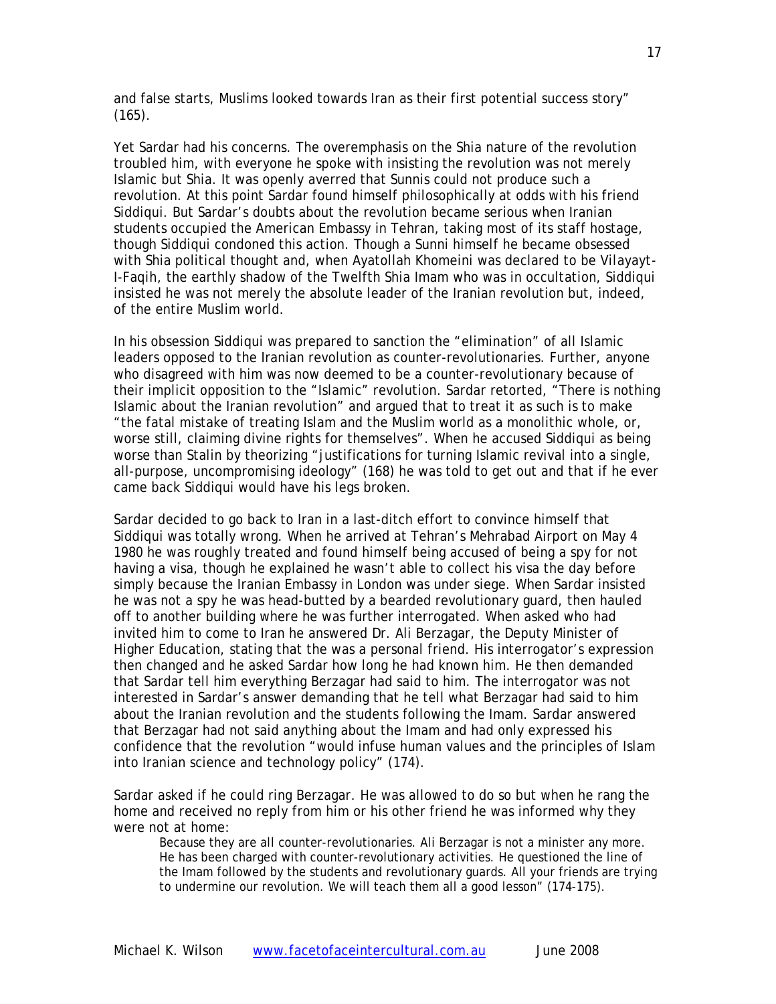and false starts, Muslims looked towards Iran as their first potential success story"  $(165)$ .

Yet Sardar had his concerns. The overemphasis on the Shia nature of the revolution troubled him, with everyone he spoke with insisting the revolution was not merely Islamic but Shia. It was openly averred that Sunnis could not produce such a revolution. At this point Sardar found himself philosophically at odds with his friend Siddiqui. But Sardar's doubts about the revolution became serious when Iranian students occupied the American Embassy in Tehran, taking most of its staff hostage, though Siddiqui condoned this action. Though a Sunni himself he became obsessed with Shia political thought and, when Ayatollah Khomeini was declared to be *Vilayayt-I-Faqih*, the earthly shadow of the Twelfth Shia Imam who was in occultation, Siddiqui insisted he was not merely the absolute leader of the Iranian revolution but, indeed, of the entire Muslim world.

In his obsession Siddiqui was prepared to sanction the "elimination" of all Islamic leaders opposed to the Iranian revolution as counter-revolutionaries. Further, anyone who disagreed with him was now deemed to be a counter-revolutionary because of their implicit opposition to the "Islamic" revolution. Sardar retorted, "There is nothing Islamic about the Iranian revolution" and argued that to treat it as such is to make "the fatal mistake of treating Islam and the Muslim world as a monolithic whole, or, worse still, claiming divine rights for themselves". When he accused Siddiqui as being worse than Stalin by theorizing "justifications for turning Islamic revival into a single, all-purpose, uncompromising ideology" (168) he was told to get out and that if he ever came back Siddiqui would have his legs broken.

Sardar decided to go back to Iran in a last-ditch effort to convince himself that Siddiqui was totally wrong. When he arrived at Tehran's Mehrabad Airport on May 4 1980 he was roughly treated and found himself being accused of being a spy for not having a visa, though he explained he wasn't able to collect his visa the day before simply because the Iranian Embassy in London was under siege. When Sardar insisted he was not a spy he was head-butted by a bearded revolutionary guard, then hauled off to another building where he was further interrogated. When asked who had invited him to come to Iran he answered Dr. Ali Berzagar, the Deputy Minister of Higher Education, stating that the was a personal friend. His interrogator's expression then changed and he asked Sardar how long he had known him. He then demanded that Sardar tell him everything Berzagar had said to him. The interrogator was not interested in Sardar's answer demanding that he tell what Berzagar had said to him about the Iranian revolution and the students following the Imam. Sardar answered that Berzagar had not said anything about the Imam and had only expressed his confidence that the revolution "would infuse human values and the principles of Islam into Iranian science and technology policy" (174).

Sardar asked if he could ring Berzagar. He was allowed to do so but when he rang the home and received no reply from him or his other friend he was informed why they were not at home:

Because they are all counter-revolutionaries. Ali Berzagar is not a minister any more. He has been charged with counter-revolutionary activities. He questioned the line of the Imam followed by the students and revolutionary guards. All your friends are trying to undermine our revolution. We will teach them all a good lesson" (174-175).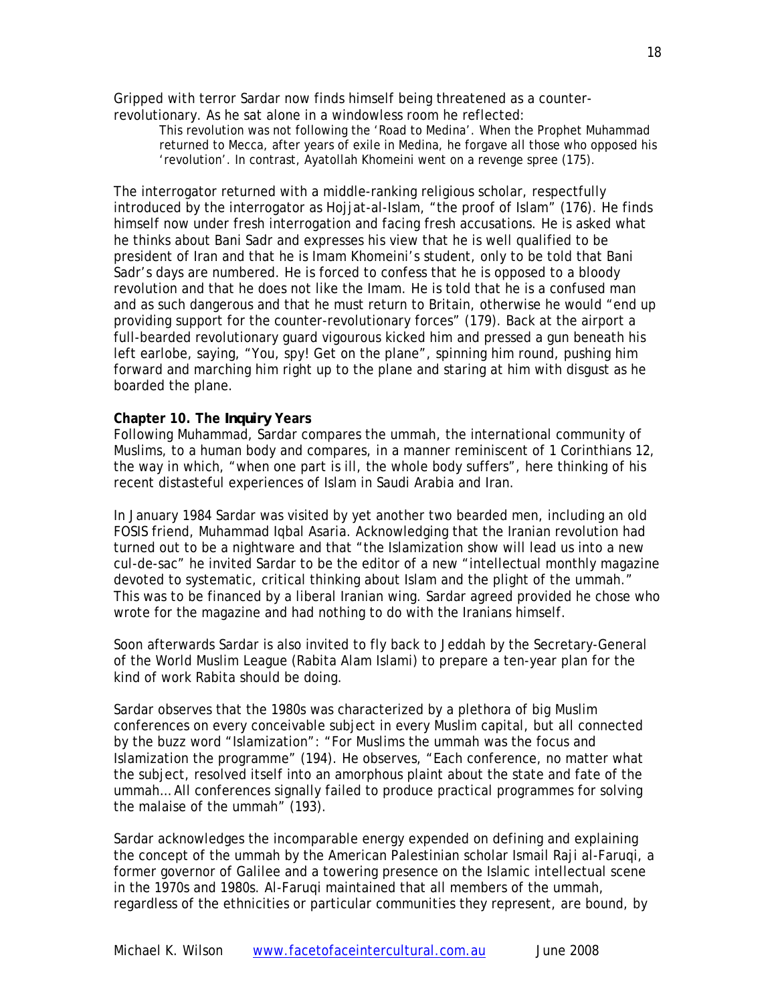Gripped with terror Sardar now finds himself being threatened as a counterrevolutionary. As he sat alone in a windowless room he reflected:

This revolution was not following the 'Road to Medina'. When the Prophet Muhammad returned to Mecca, after years of exile in Medina, he forgave all those who opposed his 'revolution'. In contrast, Ayatollah Khomeini went on a revenge spree (175).

The interrogator returned with a middle-ranking religious scholar, respectfully introduced by the interrogator as Hojjat-al-Islam, "the proof of Islam" (176). He finds himself now under fresh interrogation and facing fresh accusations. He is asked what he thinks about Bani Sadr and expresses his view that he is well qualified to be president of Iran and that he is Imam Khomeini's student, only to be told that Bani Sadr's days are numbered. He is forced to confess that he is opposed to a bloody revolution and that he does not like the Imam. He is told that he is a confused man and as such dangerous and that he must return to Britain, otherwise he would "end up providing support for the counter-revolutionary forces" (179). Back at the airport a full-bearded revolutionary guard vigourous kicked him and pressed a gun beneath his left earlobe, saying, "You, spy! Get on the plane", spinning him round, pushing him forward and marching him right up to the plane and staring at him with disgust as he boarded the plane.

## **Chapter 10. The** *Inquiry* **Years**

Following Muhammad, Sardar compares the *ummah*, the international community of Muslims, to a human body and compares, in a manner reminiscent of 1 Corinthians 12, the way in which, "when one part is ill, the whole body suffers", here thinking of his recent distasteful experiences of Islam in Saudi Arabia and Iran.

In January 1984 Sardar was visited by yet another two bearded men, including an old FOSIS friend, Muhammad Iqbal Asaria. Acknowledging that the Iranian revolution had turned out to be a nightware and that "the Islamization show will lead us into a new cul-de-sac" he invited Sardar to be the editor of a new "intellectual monthly magazine devoted to systematic, critical thinking about Islam and the plight of the *umma*h." This was to be financed by a liberal Iranian wing. Sardar agreed provided he chose who wrote for the magazine and had nothing to do with the Iranians himself.

Soon afterwards Sardar is also invited to fly back to Jeddah by the Secretary-General of the World Muslim League (Rabita Alam Islami) to prepare a ten-year plan for the kind of work Rabita should be doing.

Sardar observes that the 1980s was characterized by a plethora of big Muslim conferences on every conceivable subject in every Muslim capital, but all connected by the buzz word "Islamization": "For Muslims the *ummah* was the focus and Islamization the programme" (194). He observes, "Each conference, no matter what the subject, resolved itself into an amorphous plaint about the state and fate of the *ummah*… All conferences signally failed to produce practical programmes for solving the malaise of the *ummah*" (193).

Sardar acknowledges the incomparable energy expended on defining and explaining the concept of the *ummah* by the American Palestinian scholar Ismail Raji al-Faruqi, a former governor of Galilee and a towering presence on the Islamic intellectual scene in the 1970s and 1980s. Al-Faruqi maintained that all members of the *ummah*, regardless of the ethnicities or particular communities they represent, are bound, by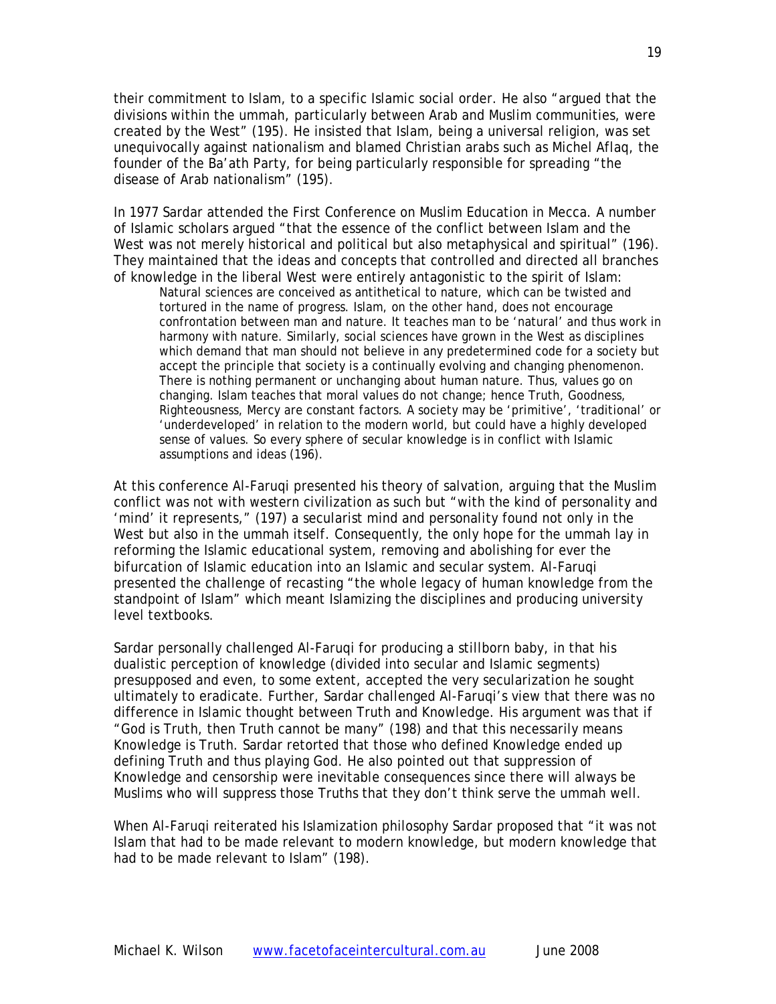their commitment to Islam, to a specific Islamic social order. He also "argued that the divisions within the *ummah*, particularly between Arab and Muslim communities, were created by the West" (195). He insisted that Islam, being a universal religion, was set unequivocally against nationalism and blamed Christian arabs such as Michel Aflaq, the founder of the Ba'ath Party, for being particularly responsible for spreading "the disease of Arab nationalism" (195).

In 1977 Sardar attended the First Conference on Muslim Education in Mecca. A number of Islamic scholars argued "that the essence of the conflict between Islam and the West was not merely historical and political but also metaphysical and spiritual" (196). They maintained that the ideas and concepts that controlled and directed all branches of knowledge in the liberal West were entirely antagonistic to the spirit of Islam:

Natural sciences are conceived as antithetical to nature, which can be twisted and tortured in the name of progress. Islam, on the other hand, does not encourage confrontation between man and nature. It teaches man to be 'natural' and thus work in harmony with nature. Similarly, social sciences have grown in the West as disciplines which demand that man should not believe in any predetermined code for a society but accept the principle that society is a continually evolving and changing phenomenon. There is nothing permanent or unchanging about human nature. Thus, values go on changing. Islam teaches that moral values do not change; hence Truth, Goodness, Righteousness, Mercy are constant factors. A society may be 'primitive', 'traditional' or 'underdeveloped' in relation to the modern world, but could have a highly developed sense of values. So every sphere of secular knowledge is in conflict with Islamic assumptions and ideas (196).

At this conference Al-Faruqi presented his theory of salvation, arguing that the Muslim conflict was not with western civilization as such but "with the kind of personality and 'mind' it represents," (197) a secularist mind and personality found not only in the West but also in the *ummah* itself. Consequently, the only hope for the *ummah* lay in reforming the Islamic educational system, removing and abolishing for ever the bifurcation of Islamic education into an Islamic and secular system. Al-Faruqi presented the challenge of recasting "the whole legacy of human knowledge from the standpoint of Islam" which meant Islamizing the disciplines and producing university level textbooks.

Sardar personally challenged Al-Faruqi for producing a stillborn baby, in that his dualistic perception of knowledge (divided into secular and Islamic segments) presupposed and even, to some extent, accepted the very secularization he sought ultimately to eradicate. Further, Sardar challenged Al-Faruqi's view that there was no difference in Islamic thought between Truth and Knowledge. His argument was that if "God is Truth, then Truth cannot be many" (198) and that this necessarily means Knowledge is Truth. Sardar retorted that those who defined Knowledge ended up defining Truth and thus playing God. He also pointed out that suppression of Knowledge and censorship were inevitable consequences since there will always be Muslims who will suppress those Truths that they don't think serve the *ummah* well.

When Al-Faruqi reiterated his Islamization philosophy Sardar proposed that "it was not Islam that had to be made relevant to modern knowledge, but modern knowledge that had to be made relevant to Islam" (198).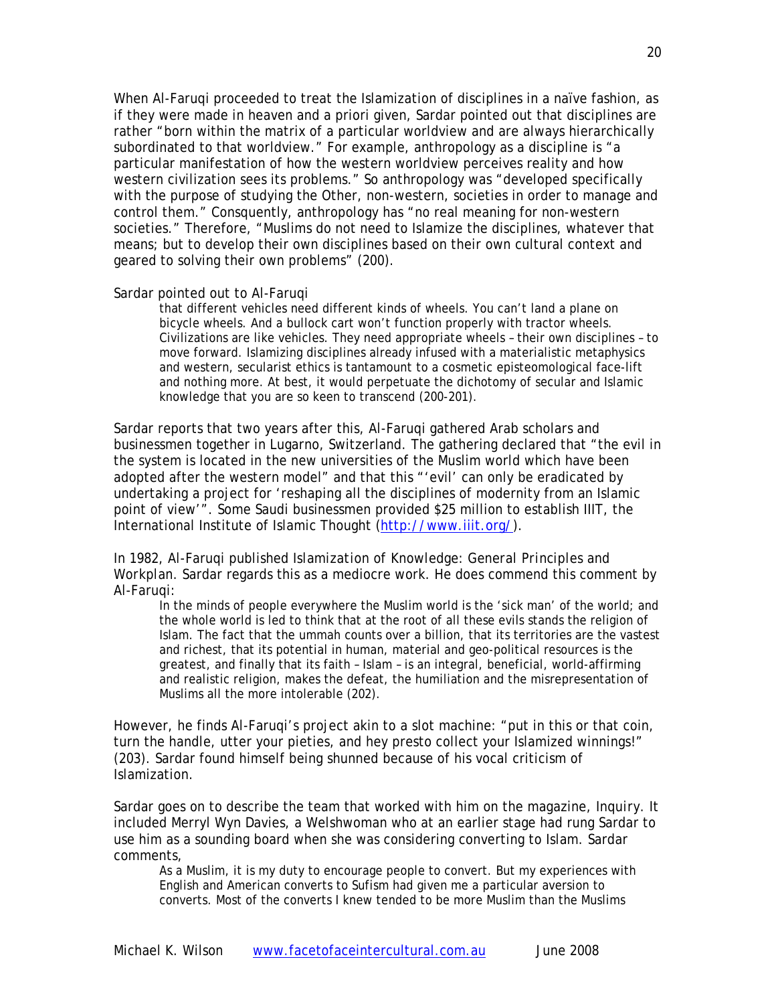When Al-Faruqi proceeded to treat the Islamization of disciplines in a naïve fashion, as if they were made in heaven and a priori given, Sardar pointed out that disciplines are rather "born within the matrix of a particular worldview and are always hierarchically subordinated to that worldview." For example, anthropology as a discipline is "a particular manifestation of how the western worldview perceives reality and how western civilization sees its problems." So anthropology was "developed specifically with the purpose of studying the Other, non-western, societies in order to manage and control them." Consquently, anthropology has "no real meaning for non-western societies." Therefore, "Muslims do not need to Islamize the disciplines, whatever that means; but to develop their own disciplines based on their own cultural context and geared to solving their own problems" (200).

#### Sardar pointed out to Al-Faruqi

that different vehicles need different kinds of wheels. You can't land a plane on bicycle wheels. And a bullock cart won't function properly with tractor wheels. Civilizations are like vehicles. They need appropriate wheels – their own disciplines – to move forward. Islamizing disciplines already infused with a materialistic metaphysics and western, secularist ethics is tantamount to a cosmetic episteomological face-lift and nothing more. At best, it would perpetuate the dichotomy of secular and Islamic knowledge that you are so keen to transcend (200-201).

Sardar reports that two years after this, Al-Faruqi gathered Arab scholars and businessmen together in Lugarno, Switzerland. The gathering declared that "the evil in the system is located in the new universities of the Muslim world which have been adopted after the western model" and that this "'evil' can only be eradicated by undertaking a project for 'reshaping all the disciplines of modernity from an Islamic point of view'". Some Saudi businessmen provided \$25 million to establish IIIT, the International Institute of Islamic Thought (http://www.iiit.org/).

In 1982, Al-Faruqi published *Islamization of Knowledge: General Principles and Workplan*. Sardar regards this as a mediocre work. He does commend this comment by Al-Faruqi:

In the minds of people everywhere the Muslim world is the 'sick man' of the world; and the whole world is led to think that at the root of all these evils stands the religion of Islam. The fact that the *ummah* counts over a billion, that its territories are the vastest and richest, that its potential in human, material and geo-political resources is the greatest, and finally that its faith – Islam – is an integral, beneficial, world-affirming and realistic religion, makes the defeat, the humiliation and the misrepresentation of Muslims all the more intolerable (202).

However, he finds Al-Faruqi's project akin to a slot machine: "put in this or that coin, turn the handle, utter your pieties, and hey presto collect your Islamized winnings!" (203). Sardar found himself being shunned because of his vocal criticism of Islamization.

Sardar goes on to describe the team that worked with him on the magazine, *Inquiry*. It included Merryl Wyn Davies, a Welshwoman who at an earlier stage had rung Sardar to use him as a sounding board when she was considering converting to Islam. Sardar comments,

As a Muslim, it is my duty to encourage people to convert. But my experiences with English and American converts to Sufism had given me a particular aversion to converts. Most of the converts I knew tended to be more Muslim than the Muslims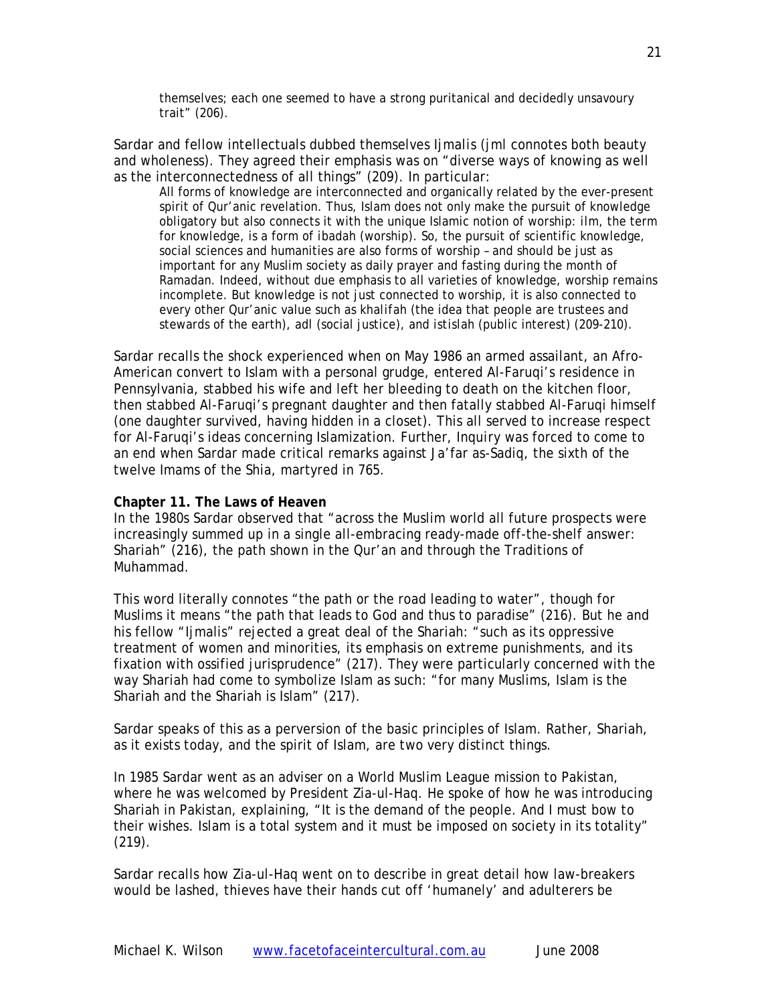themselves; each one seemed to have a strong puritanical and decidedly unsavoury trait" (206).

Sardar and fellow intellectuals dubbed themselves *Ijmalis* (*jml* connotes both beauty and wholeness). They agreed their emphasis was on "diverse ways of knowing as well as the interconnectedness of all things" (209). In particular:

All forms of knowledge are interconnected and organically related by the ever-present spirit of Qur'anic revelation. Thus, Islam does not only make the pursuit of knowledge obligatory but also connects it with the unique Islamic notion of worship: *ilm*, the term for knowledge, is a form of *ibadah* (worship). So, the pursuit of scientific knowledge, social sciences and humanities are also forms of worship – and should be just as important for any Muslim society as daily prayer and fasting during the month of Ramadan. Indeed, without due emphasis to all varieties of knowledge, worship remains incomplete. But knowledge is not just connected to worship, it is also connected to every other Qur'anic value such as *khalifah* (the idea that people are trustees and stewards of the earth), *adl* (social justice), and *istislah* (public interest) (209-210).

Sardar recalls the shock experienced when on May 1986 an armed assailant, an Afro-American convert to Islam with a personal grudge, entered Al-Faruqi's residence in Pennsylvania, stabbed his wife and left her bleeding to death on the kitchen floor, then stabbed Al-Faruqi's pregnant daughter and then fatally stabbed Al-Faruqi himself (one daughter survived, having hidden in a closet). This all served to increase respect for Al-Faruqi's ideas concerning Islamization. Further, *Inquiry* was forced to come to an end when Sardar made critical remarks against Ja'far as-Sadiq, the sixth of the twelve Imams of the Shia, martyred in 765.

# **Chapter 11. The Laws of Heaven**

In the 1980s Sardar observed that "across the Muslim world all future prospects were increasingly summed up in a single all-embracing ready-made off-the-shelf answer: Shariah" (216), the path shown in the Qur'an and through the Traditions of Muhammad.

This word literally connotes "the path or the road leading to water", though for Muslims it means "the path that leads to God and thus to paradise" (216). But he and his fellow "Ijmalis" rejected a great deal of the Shariah: "such as its oppressive treatment of women and minorities, its emphasis on extreme punishments, and its fixation with ossified jurisprudence" (217). They were particularly concerned with the way Shariah had come to symbolize Islam as such: "for many Muslims, Islam is the Shariah and the Shariah is Islam" (217).

Sardar speaks of this as a perversion of the basic principles of Islam. Rather, Shariah, as it exists today, and the spirit of Islam, are two very distinct things.

In 1985 Sardar went as an adviser on a World Muslim League mission to Pakistan, where he was welcomed by President Zia-ul-Haq. He spoke of how he was introducing Shariah in Pakistan, explaining, "It is the demand of the people. And I must bow to their wishes. Islam is a total system and it must be imposed on society in its totality" (219).

Sardar recalls how Zia-ul-Haq went on to describe in great detail how law-breakers would be lashed, thieves have their hands cut off 'humanely' and adulterers be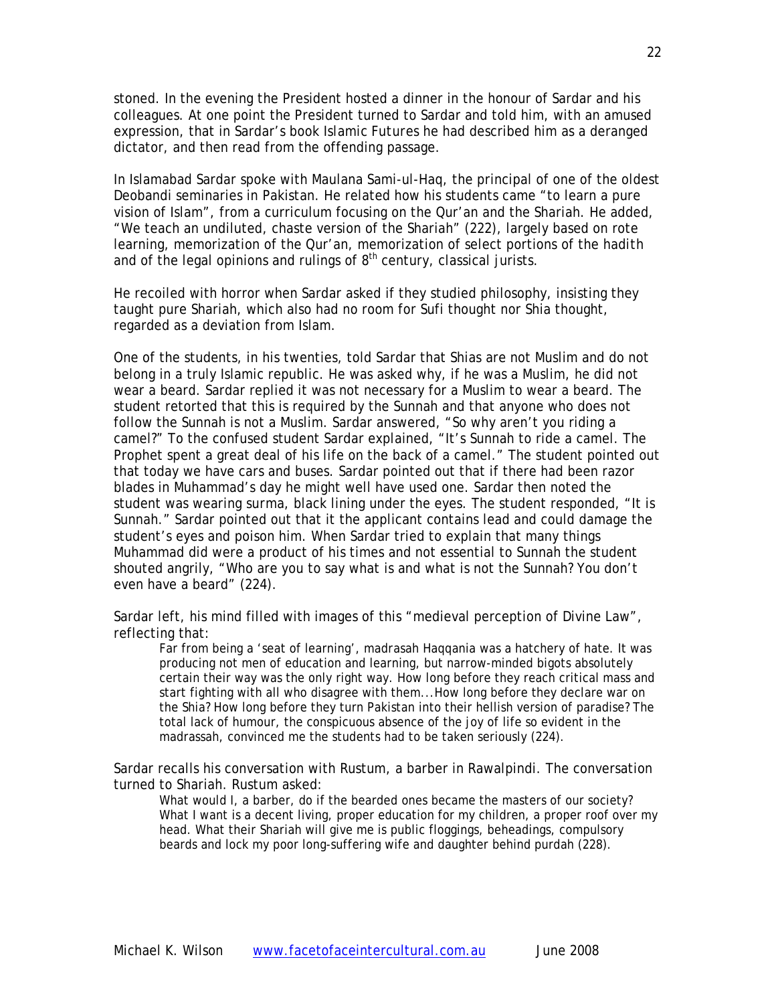stoned. In the evening the President hosted a dinner in the honour of Sardar and his colleagues. At one point the President turned to Sardar and told him, with an amused expression, that in Sardar's book *Islamic Futures* he had described him as a deranged dictator, and then read from the offending passage.

In Islamabad Sardar spoke with Maulana Sami-ul-Haq, the principal of one of the oldest Deobandi seminaries in Pakistan. He related how his students came "to learn a pure vision of Islam", from a curriculum focusing on the Qur'an and the Shariah. He added, "We teach an undiluted, chaste version of the Shariah" (222), largely based on rote learning, memorization of the Qur'an, memorization of select portions of the *hadith* and of the legal opinions and rulings of  $8<sup>th</sup>$  century, classical jurists.

He recoiled with horror when Sardar asked if they studied philosophy, insisting they taught pure Shariah, which also had no room for Sufi thought nor Shia thought, regarded as a deviation from Islam.

One of the students, in his twenties, told Sardar that Shias are not Muslim and do not belong in a truly Islamic republic. He was asked why, if he was a Muslim, he did not wear a beard. Sardar replied it was not necessary for a Muslim to wear a beard. The student retorted that this is required by the Sunnah and that anyone who does not follow the Sunnah is not a Muslim. Sardar answered, "So why aren't you riding a camel?" To the confused student Sardar explained, "It's Sunnah to ride a camel. The Prophet spent a great deal of his life on the back of a camel." The student pointed out that today we have cars and buses. Sardar pointed out that if there had been razor blades in Muhammad's day he might well have used one. Sardar then noted the student was wearing *surma*, black lining under the eyes. The student responded, "It is Sunnah." Sardar pointed out that it the applicant contains lead and could damage the student's eyes and poison him. When Sardar tried to explain that many things Muhammad did were a product of his times and not essential to Sunnah the student shouted angrily, "Who are you to say what is and what is not the Sunnah? You don't even have a beard" (224).

Sardar left, his mind filled with images of this "medieval perception of Divine Law", reflecting that:

Far from being a 'seat of learning', *madrasah* Haqqania was a hatchery of hate. It was producing not men of education and learning, but narrow-minded bigots absolutely certain their way was the only right way. How long before they reach critical mass and start fighting with all who disagree with them...How long before they declare war on the Shia? How long before they turn Pakistan into their hellish version of paradise? The total lack of humour, the conspicuous absence of the joy of life so evident in the madrassah, convinced me the students had to be taken seriously (224).

Sardar recalls his conversation with Rustum, a barber in Rawalpindi. The conversation turned to Shariah. Rustum asked:

What would I, a barber, do if the bearded ones became the masters of our society? What I want is a decent living, proper education for my children, a proper roof over my head. What their Shariah will give me is public floggings, beheadings, compulsory beards and lock my poor long-suffering wife and daughter behind purdah (228).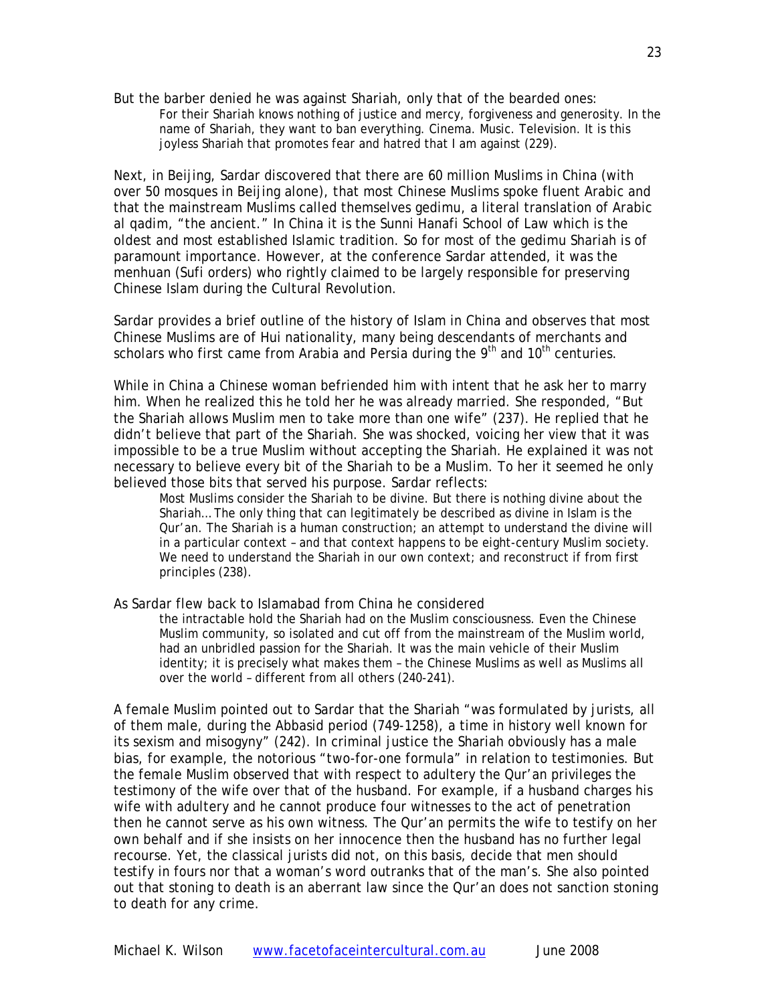But the barber denied he was against Shariah, only that of the bearded ones: For their Shariah knows nothing of justice and mercy, forgiveness and generosity. In the name of Shariah, they want to ban everything. Cinema. Music. Television. It is this joyless Shariah that promotes fear and hatred that I am against (229).

Next, in Beijing, Sardar discovered that there are 60 million Muslims in China (with over 50 mosques in Beijing alone), that most Chinese Muslims spoke fluent Arabic and that the mainstream Muslims called themselves *gedimu*, a literal translation of Arabic *al qadim*, "the ancient." In China it is the Sunni Hanafi School of Law which is the oldest and most established Islamic tradition. So for most of the *gedimu* Shariah is of paramount importance. However, at the conference Sardar attended, it was the *menhuan* (Sufi orders) who rightly claimed to be largely responsible for preserving Chinese Islam during the Cultural Revolution.

Sardar provides a brief outline of the history of Islam in China and observes that most Chinese Muslims are of Hui nationality, many being descendants of merchants and scholars who first came from Arabia and Persia during the  $9<sup>th</sup>$  and  $10<sup>th</sup>$  centuries.

While in China a Chinese woman befriended him with intent that he ask her to marry him. When he realized this he told her he was already married. She responded, "But the Shariah allows Muslim men to take more than one wife" (237). He replied that he didn't believe that part of the Shariah. She was shocked, voicing her view that it was impossible to be a true Muslim without accepting the Shariah. He explained it was not necessary to believe every bit of the Shariah to be a Muslim. To her it seemed he only believed those bits that served his purpose. Sardar reflects:

Most Muslims consider the Shariah to be divine. But there is nothing divine about the Shariah… The only thing that can legitimately be described as divine in Islam is the Qur'an. The Shariah is a human construction; an attempt to understand the divine will in a particular context – and that context happens to be eight-century Muslim society. We need to understand the Shariah in our own context; and reconstruct if from first principles (238).

As Sardar flew back to Islamabad from China he considered

the intractable hold the Shariah had on the Muslim consciousness. Even the Chinese Muslim community, so isolated and cut off from the mainstream of the Muslim world, had an unbridled passion for the Shariah. It was the main vehicle of their Muslim identity; it is precisely what makes them – the Chinese Muslims as well as Muslims all over the world – different from all others (240-241).

A female Muslim pointed out to Sardar that the Shariah "was formulated by jurists, all of them male, during the Abbasid period (749-1258), a time in history well known for its sexism and misogyny" (242). In criminal justice the Shariah obviously has a male bias, for example, the notorious "two-for-one formula" in relation to testimonies. But the female Muslim observed that with respect to adultery the Qur'an privileges the testimony of the wife over that of the husband. For example, if a husband charges his wife with adultery and he cannot produce four witnesses to the act of penetration then he cannot serve as his own witness. The Qur'an permits the wife to testify on her own behalf and if she insists on her innocence then the husband has no further legal recourse. Yet, the classical jurists did not, on this basis, decide that men should testify in fours nor that a woman's word outranks that of the man's. She also pointed out that stoning to death is an aberrant law since the Qur'an does not sanction stoning to death for *any* crime.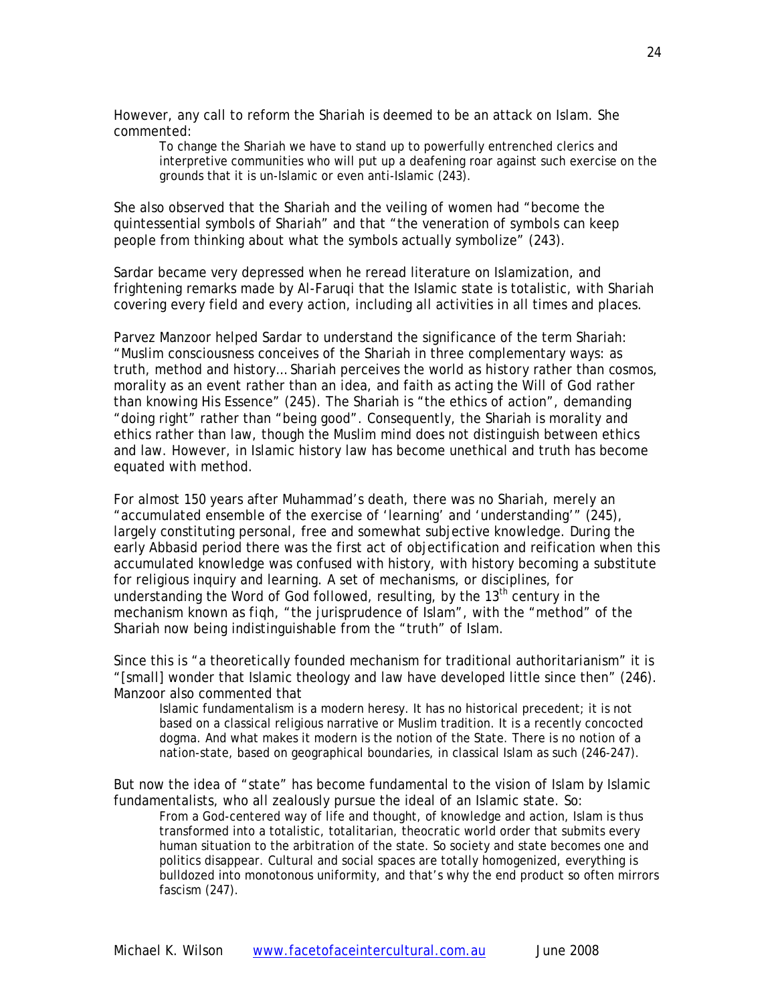However, any call to reform the Shariah is deemed to be an attack on Islam. She commented:

To change the Shariah we have to stand up to powerfully entrenched clerics and interpretive communities who will put up a deafening roar against such exercise on the grounds that it is un-Islamic or even anti-Islamic (243).

She also observed that the Shariah and the veiling of women had "become the quintessential symbols of Shariah" and that "the veneration of symbols can keep people from thinking about what the symbols actually symbolize" (243).

Sardar became very depressed when he reread literature on Islamization, and frightening remarks made by Al-Faruqi that the Islamic state is totalistic, with Shariah covering every field and every action, including all activities in all times and places.

Parvez Manzoor helped Sardar to understand the significance of the term Shariah: "Muslim consciousness conceives of the Shariah in three complementary ways: as truth, method and history… Shariah perceives the world as *history* rather than *cosmos*, morality as an *event* rather than an *idea*, and faith as *acting* the Will of God rather than *knowing* His Essence" (245). The Shariah is "the ethics of action", demanding "doing right" rather than "being good". Consequently, the Shariah is morality and ethics rather than law, though the Muslim mind does not distinguish between ethics and law. However, in Islamic history law has become unethical and truth has become equated with method.

For almost 150 years after Muhammad's death, there was no Shariah, merely an "accumulated ensemble of the exercise of 'learning' and 'understanding'" (245), largely constituting personal, free and somewhat subjective knowledge. During the early Abbasid period there was the first act of objectification and reification when this accumulated knowledge was confused with history, with history becoming a substitute for religious inquiry and learning. A set of mechanisms, or disciplines, for understanding the Word of God followed, resulting, by the  $13<sup>th</sup>$  century in the mechanism known as *fiqh*, "the jurisprudence of Islam", with the "method" of the Shariah now being indistinguishable from the "truth" of Islam.

Since this is "a theoretically founded mechanism for traditional authoritarianism" it is "[small] wonder that Islamic theology and law have developed little since then" (246). Manzoor also commented that

Islamic fundamentalism is a modern heresy. It has no historical precedent; it is not based on a classical religious narrative or Muslim tradition. It is a recently concocted dogma. And what makes it modern is the notion of the State. There is no notion of a nation-state, based on geographical boundaries, in classical Islam as such (246-247).

But now the idea of "state" has become fundamental to the vision of Islam by Islamic fundamentalists, who all zealously pursue the ideal of an Islamic state. So:

From a God-centered way of life and thought, of knowledge and action, Islam is thus transformed into a totalistic, totalitarian, theocratic world order that submits every human situation to the arbitration of the state. So society and state becomes one and politics disappear. Cultural and social spaces are totally homogenized, everything is bulldozed into monotonous uniformity, and that's why the end product so often mirrors fascism (247).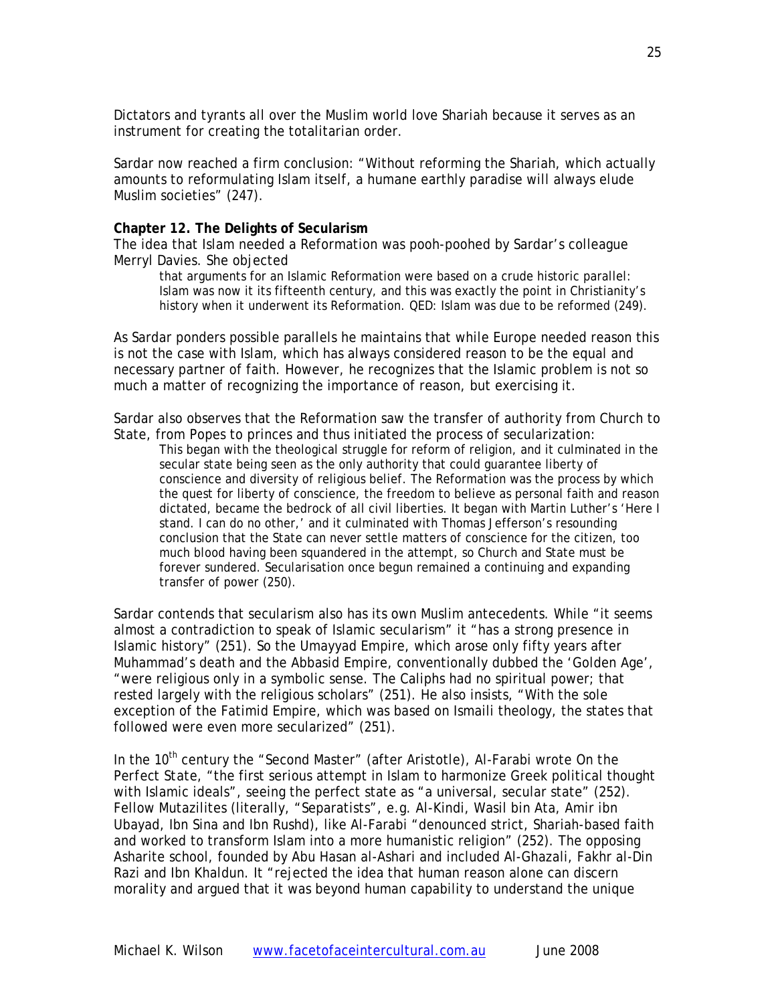Dictators and tyrants all over the Muslim world love Shariah because it serves as an instrument for creating the totalitarian order.

Sardar now reached a firm conclusion: "Without reforming the Shariah, which actually amounts to reformulating Islam itself, a humane earthly paradise will always elude Muslim societies" (247).

#### **Chapter 12. The Delights of Secularism**

The idea that Islam needed a Reformation was pooh-poohed by Sardar's colleague Merryl Davies. She objected

that arguments for an Islamic Reformation were based on a crude historic parallel: Islam was now it its fifteenth century, and this was exactly the point in Christianity's history when it underwent its Reformation. QED: Islam was due to be reformed (249).

As Sardar ponders possible parallels he maintains that while Europe needed reason this is not the case with Islam, which has always considered reason to be the equal and necessary partner of faith. However, he recognizes that the Islamic problem is not so much a matter of recognizing the importance of reason, but exercising it.

Sardar also observes that the Reformation saw the transfer of authority from Church to State, from Popes to princes and thus initiated the process of secularization:

This began with the theological struggle for reform of religion, and it culminated in the secular state being seen as the only authority that could guarantee liberty of conscience and diversity of religious belief. The Reformation was the process by which the quest for liberty of conscience, the freedom to believe as personal faith and reason dictated, became the bedrock of all civil liberties. It began with Martin Luther's 'Here I stand. I can do no other,' and it culminated with Thomas Jefferson's resounding conclusion that the State can never settle matters of conscience for the citizen, too much blood having been squandered in the attempt, so Church and State must be forever sundered. Secularisation once begun remained a continuing and expanding transfer of power (250).

Sardar contends that secularism also has its own Muslim antecedents. While "it seems almost a contradiction to speak of Islamic secularism" it "has a strong presence in Islamic history" (251). So the Umayyad Empire, which arose only fifty years after Muhammad's death and the Abbasid Empire, conventionally dubbed the 'Golden Age', "were religious only in a symbolic sense. The Caliphs had no spiritual power; that rested largely with the religious scholars" (251). He also insists, "With the sole exception of the Fatimid Empire, which was based on Ismaili theology, the states that followed were even more secularized" (251).

In the 10<sup>th</sup> century the "Second Master" (after Aristotle), Al-Farabi wrote *On the Perfect State*, "the first serious attempt in Islam to harmonize Greek political thought with Islamic ideals", seeing the perfect state as "a universal, secular state" (252). Fellow Mutazilites (literally, "Separatists", e.g. Al-Kindi, Wasil bin Ata, Amir ibn Ubayad, Ibn Sina and Ibn Rushd), like Al-Farabi "denounced strict, Shariah-based faith and worked to transform Islam into a more humanistic religion" (252). The opposing Asharite school, founded by Abu Hasan al-Ashari and included Al-Ghazali, Fakhr al-Din Razi and Ibn Khaldun. It "rejected the idea that human reason alone can discern morality and argued that it was beyond human capability to understand the unique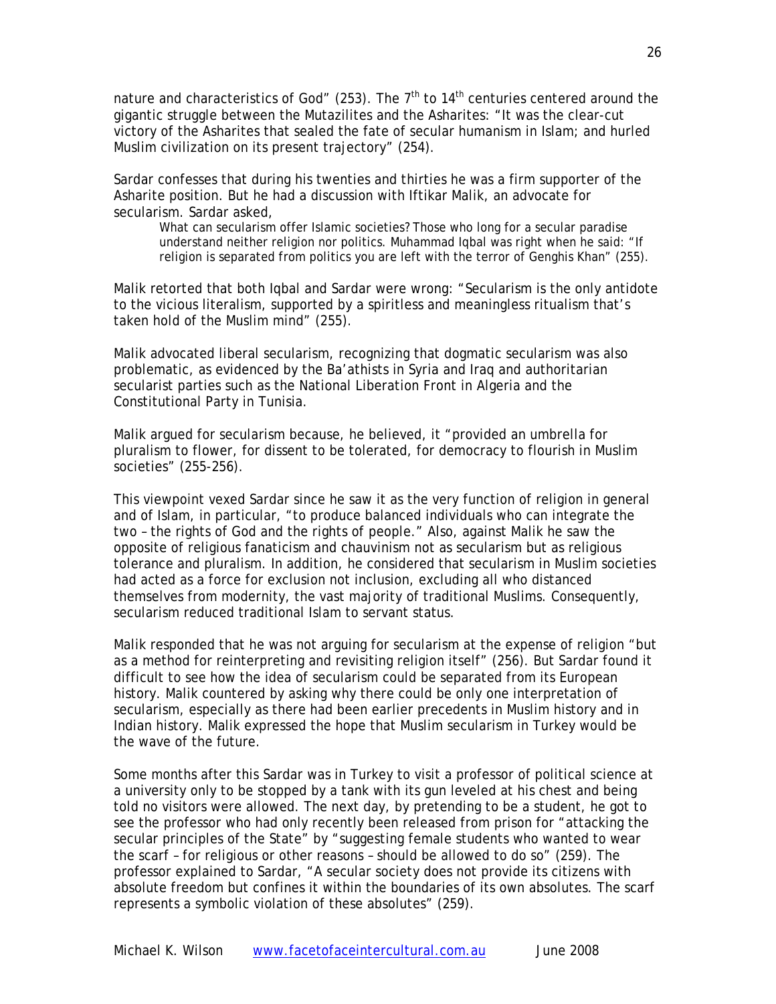nature and characteristics of God" (253). The  $7<sup>th</sup>$  to 14<sup>th</sup> centuries centered around the gigantic struggle between the Mutazilites and the Asharites: "It was the clear-cut victory of the Asharites that sealed the fate of secular humanism in Islam; and hurled Muslim civilization on its present trajectory" (254).

Sardar confesses that during his twenties and thirties he was a firm supporter of the Asharite position. But he had a discussion with Iftikar Malik, an advocate for secularism. Sardar asked,

What can secularism offer Islamic societies? Those who long for a secular paradise understand neither religion nor politics. Muhammad Iqbal was right when he said: "If religion is separated from politics you are left with the terror of Genghis Khan" (255).

Malik retorted that both Iqbal and Sardar were wrong: "Secularism is the only antidote to the vicious literalism, supported by a spiritless and meaningless ritualism that's taken hold of the Muslim mind" (255).

Malik advocated liberal secularism, recognizing that dogmatic secularism was also problematic, as evidenced by the Ba'athists in Syria and Iraq and authoritarian secularist parties such as the National Liberation Front in Algeria and the Constitutional Party in Tunisia.

Malik argued for secularism because, he believed, it "provided an umbrella for pluralism to flower, for dissent to be tolerated, for democracy to flourish in Muslim societies" (255-256).

This viewpoint vexed Sardar since he saw it as the very function of religion in general and of Islam, in particular, "to produce balanced individuals who can integrate the two – the rights of God and the rights of people." Also, against Malik he saw the opposite of religious fanaticism and chauvinism not as secularism but as religious tolerance and pluralism. In addition, he considered that secularism in Muslim societies had acted as a force for exclusion not inclusion, excluding all who distanced themselves from modernity, the vast majority of traditional Muslims. Consequently, secularism reduced traditional Islam to servant status.

Malik responded that he was not arguing for secularism at the expense of religion "but as a method for reinterpreting and revisiting religion itself" (256). But Sardar found it difficult to see how the idea of secularism could be separated from its European history. Malik countered by asking why there could be only one interpretation of secularism, especially as there had been earlier precedents in Muslim history and in Indian history. Malik expressed the hope that Muslim secularism in Turkey would be the wave of the future.

Some months after this Sardar was in Turkey to visit a professor of political science at a university only to be stopped by a tank with its gun leveled at his chest and being told no visitors were allowed. The next day, by pretending to be a student, he got to see the professor who had only recently been released from prison for "attacking the secular principles of the State" by "suggesting female students who wanted to wear the scarf – for religious or other reasons – should be allowed to do so" (259). The professor explained to Sardar, "A secular society does not provide its citizens with absolute freedom but confines it within the boundaries of its own absolutes. The scarf represents a symbolic violation of these absolutes" (259).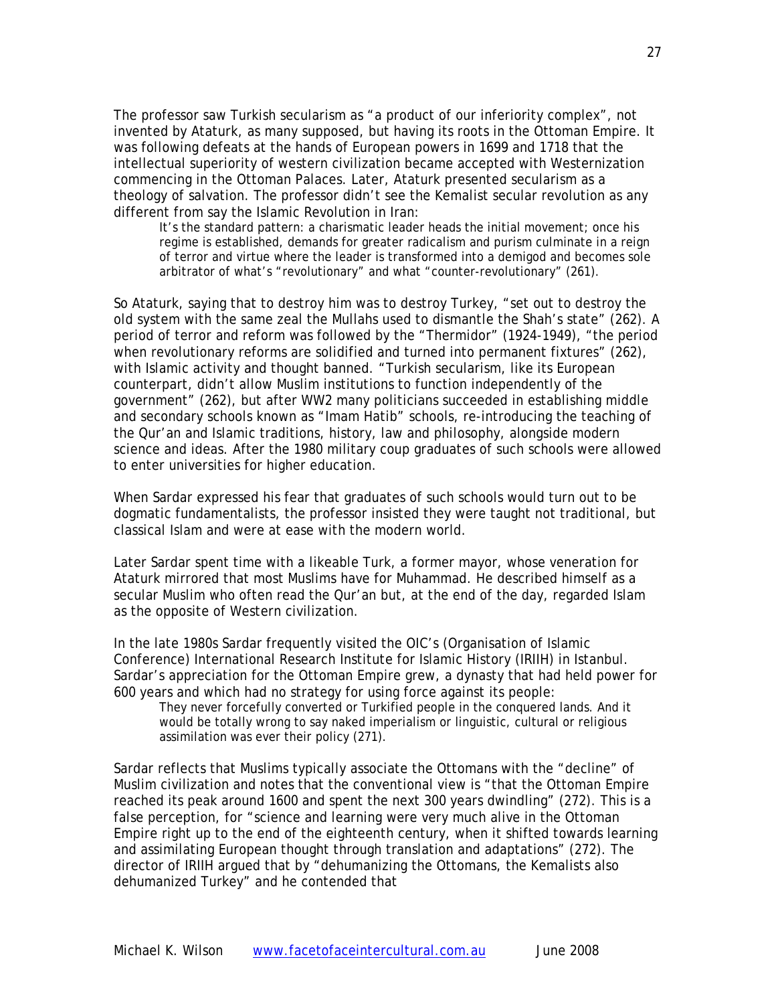The professor saw Turkish secularism as "a product of our inferiority complex", not invented by Ataturk, as many supposed, but having its roots in the Ottoman Empire. It was following defeats at the hands of European powers in 1699 and 1718 that the intellectual superiority of western civilization became accepted with Westernization commencing in the Ottoman Palaces. Later, Ataturk presented secularism as a theology of salvation. The professor didn't see the Kemalist secular revolution as any different from say the Islamic Revolution in Iran:

It's the standard pattern: a charismatic leader heads the initial movement; once his regime is established, demands for greater radicalism and purism culminate in a reign of terror and virtue where the leader is transformed into a demigod and becomes sole arbitrator of what's "revolutionary" and what "counter-revolutionary" (261).

So Ataturk, saying that to destroy him was to destroy Turkey, "set out to destroy the old system with the same zeal the Mullahs used to dismantle the Shah's state" (262). A period of terror and reform was followed by the "Thermidor" (1924-1949), "the period when revolutionary reforms are solidified and turned into permanent fixtures" (262), with Islamic activity and thought banned. "Turkish secularism, like its European counterpart, didn't allow Muslim institutions to function independently of the government" (262), but after WW2 many politicians succeeded in establishing middle and secondary schools known as "Imam Hatib" schools, re-introducing the teaching of the Qur'an and Islamic traditions, history, law and philosophy, alongside modern science and ideas. After the 1980 military coup graduates of such schools were allowed to enter universities for higher education.

When Sardar expressed his fear that graduates of such schools would turn out to be dogmatic fundamentalists, the professor insisted they were taught not traditional, but classical Islam and were at ease with the modern world.

Later Sardar spent time with a likeable Turk, a former mayor, whose veneration for Ataturk mirrored that most Muslims have for Muhammad. He described himself as a secular Muslim who often read the Qur'an but, at the end of the day, regarded Islam as the opposite of Western civilization.

In the late 1980s Sardar frequently visited the OIC's (Organisation of Islamic Conference) International Research Institute for Islamic History (IRIIH) in Istanbul. Sardar's appreciation for the Ottoman Empire grew, a dynasty that had held power for 600 years and which had no strategy for using force against its people:

They never forcefully converted or Turkified people in the conquered lands. And it would be totally wrong to say naked imperialism or linguistic, cultural or religious assimilation was ever their policy (271).

Sardar reflects that Muslims typically associate the Ottomans with the "decline" of Muslim civilization and notes that the conventional view is "that the Ottoman Empire reached its peak around 1600 and spent the next 300 years dwindling" (272). This is a false perception, for "science and learning were very much alive in the Ottoman Empire right up to the end of the eighteenth century, when it shifted towards learning and assimilating European thought through translation and adaptations" (272). The director of IRIIH argued that by "dehumanizing the Ottomans, the Kemalists also dehumanized Turkey" and he contended that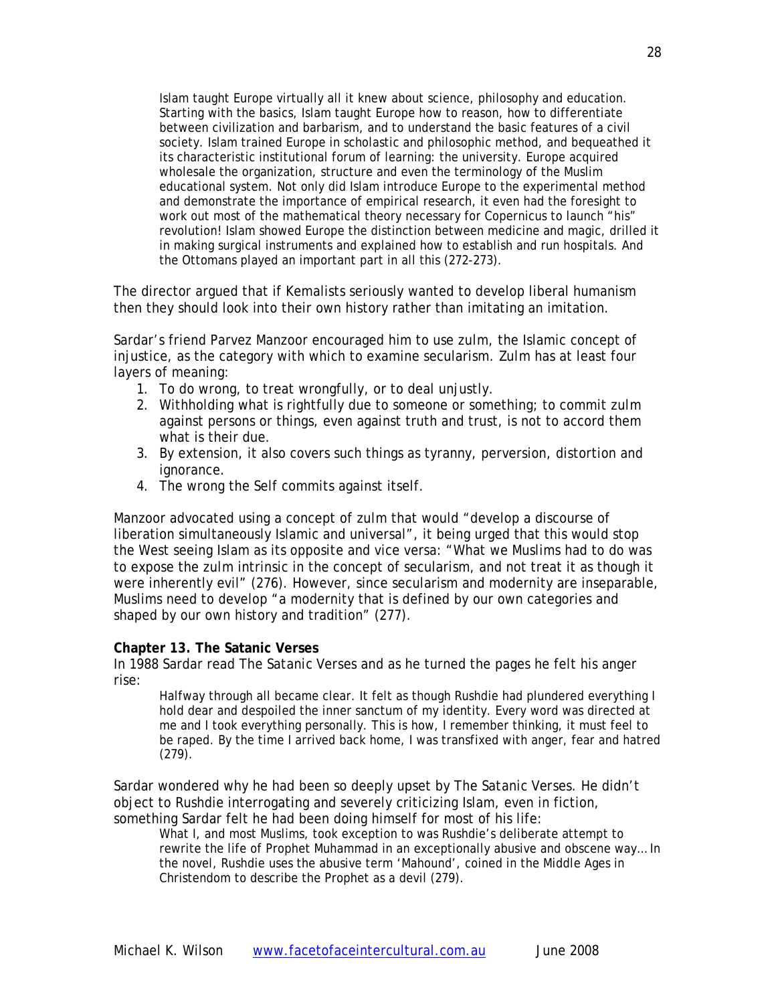Islam taught Europe virtually all it knew about science, philosophy and education. Starting with the basics, Islam taught Europe how to reason, how to differentiate between civilization and barbarism, and to understand the basic features of a civil society. Islam trained Europe in scholastic and philosophic method, and bequeathed it its characteristic institutional forum of learning: the university. Europe acquired wholesale the organization, structure and even the terminology of the Muslim educational system. Not only did Islam introduce Europe to the experimental method and demonstrate the importance of empirical research, it even had the foresight to work out most of the mathematical theory necessary for Copernicus to launch "his" revolution! Islam showed Europe the distinction between medicine and magic, drilled it in making surgical instruments and explained how to establish and run hospitals. And the Ottomans played an important part in all this (272-273).

The director argued that if Kemalists seriously wanted to develop liberal humanism then they should look into their own history rather than imitating an imitation.

Sardar's friend Parvez Manzoor encouraged him to use *zulm*, the Islamic concept of injustice, as the category with which to examine secularism. *Zulm* has at least four layers of meaning:

- 1. To do wrong, to treat wrongfully, or to deal unjustly.
- 2. Withholding what is rightfully due to someone or something; to commit *zulm* against persons or things, even against truth and trust, is not to accord them what is their due.
- 3. By extension, it also covers such things as tyranny, perversion, distortion and ignorance.
- 4. The wrong the Self commits against itself.

Manzoor advocated using a concept of *zulm* that would "develop a discourse of liberation simultaneously Islamic and universal", it being urged that this would stop the West seeing Islam as its opposite and vice versa: "What we Muslims had to do was to expose the *zulm* intrinsic in the concept of secularism, and not treat it as though it were inherently evil" (276). However, since secularism and modernity are inseparable, Muslims need to develop "a modernity that is defined by our own categories and shaped by our own history and tradition" (277).

### **Chapter 13. The Satanic Verses**

In 1988 Sardar read *The Satanic Verses* and as he turned the pages he felt his anger rise:

Halfway through all became clear. It felt as though Rushdie had plundered everything I hold dear and despoiled the inner sanctum of my identity. Every word was directed at me and I took everything personally. This is how, I remember thinking, it must feel to be raped. By the time I arrived back home, I was transfixed with anger, fear and hatred (279).

Sardar wondered why he had been so deeply upset by *The Satanic Verses*. He didn't object to Rushdie interrogating and severely criticizing Islam, even in fiction, something Sardar felt he had been doing himself for most of his life:

What I, and most Muslims, took exception to was Rushdie's deliberate attempt to rewrite the life of Prophet Muhammad in an exceptionally abusive and obscene way… In the novel, Rushdie uses the abusive term 'Mahound', coined in the Middle Ages in Christendom to describe the Prophet as a devil (279).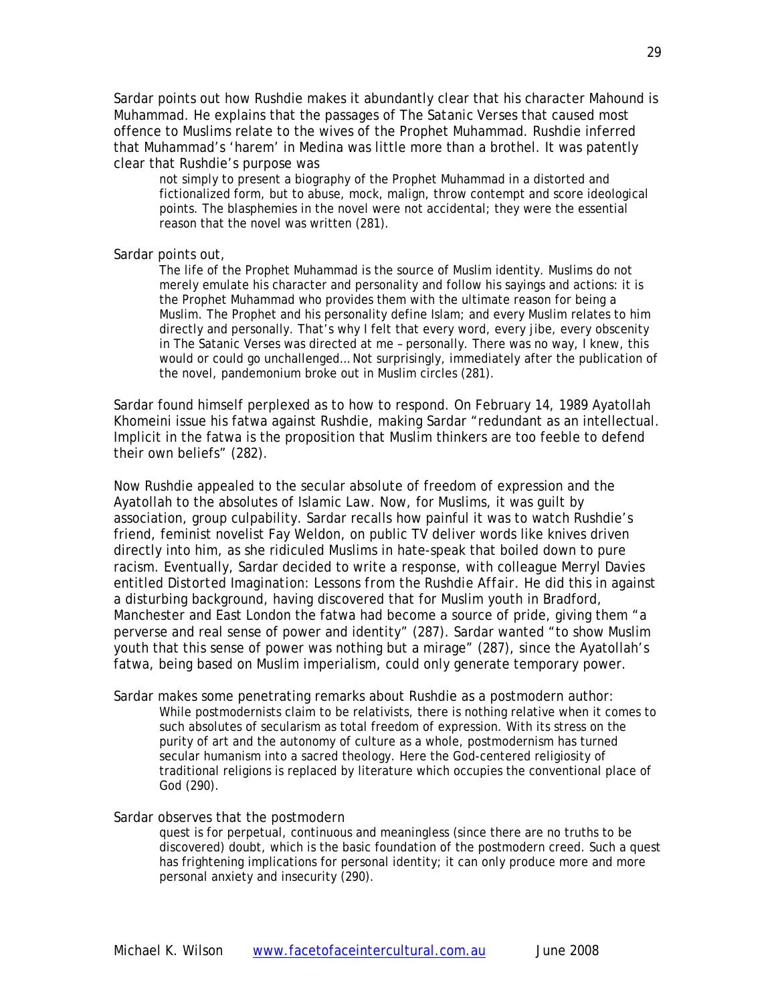Sardar points out how Rushdie makes it abundantly clear that his character Mahound is Muhammad. He explains that the passages of *The Satanic Verses* that caused most offence to Muslims relate to the wives of the Prophet Muhammad. Rushdie inferred that Muhammad's 'harem' in Medina was little more than a brothel. It was patently clear that Rushdie's purpose was

not simply to present a biography of the Prophet Muhammad in a distorted and fictionalized form, but to abuse, mock, malign, throw contempt and score ideological points. The blasphemies in the novel were not accidental; they were the essential reason that the novel was written (281).

#### Sardar points out,

The life of the Prophet Muhammad is the source of Muslim identity. Muslims do not merely emulate his character and personality and follow his sayings and actions: it is the Prophet Muhammad who provides them with the ultimate reason for being a Muslim. The Prophet and his personality define Islam; and every Muslim relates to him directly and personally. That's why I felt that every word, every jibe, every obscenity in The Satanic Verses was directed at me – personally. There was no way, I knew, this would or could go unchallenged… Not surprisingly, immediately after the publication of the novel, pandemonium broke out in Muslim circles (281).

Sardar found himself perplexed as to how to respond. On February 14, 1989 Ayatollah Khomeini issue his fatwa against Rushdie, making Sardar "redundant as an intellectual. Implicit in the fatwa is the proposition that Muslim thinkers are too feeble to defend their own beliefs" (282).

Now Rushdie appealed to the secular absolute of freedom of expression and the Ayatollah to the absolutes of Islamic Law. Now, for Muslims, it was guilt by association, group culpability. Sardar recalls how painful it was to watch Rushdie's friend, feminist novelist Fay Weldon, on public TV deliver words like knives driven directly into him, as she ridiculed Muslims in hate-speak that boiled down to pure racism. Eventually, Sardar decided to write a response, with colleague Merryl Davies entitled *Distorted Imagination: Lessons from the Rushdie Affair*. He did this in against a disturbing background, having discovered that for Muslim youth in Bradford, Manchester and East London the fatwa had become a source of pride, giving them "a perverse and real sense of power and identity" (287). Sardar wanted "to show Muslim youth that this sense of power was nothing but a mirage" (287), since the Ayatollah's fatwa, being based on Muslim imperialism, could only generate temporary power.

Sardar makes some penetrating remarks about Rushdie as a postmodern author: While postmodernists claim to be relativists, there is nothing relative when it comes to such absolutes of secularism as total freedom of expression. With its stress on the purity of art and the autonomy of culture as a whole, postmodernism has turned secular humanism into a sacred theology. Here the God-centered religiosity of traditional religions is replaced by literature which occupies the conventional place of God (290).

#### Sardar observes that the postmodern

quest is for perpetual, continuous and meaningless (since there are no truths to be discovered) doubt, which is the basic foundation of the postmodern creed. Such a quest has frightening implications for personal identity; it can only produce more and more personal anxiety and insecurity (290).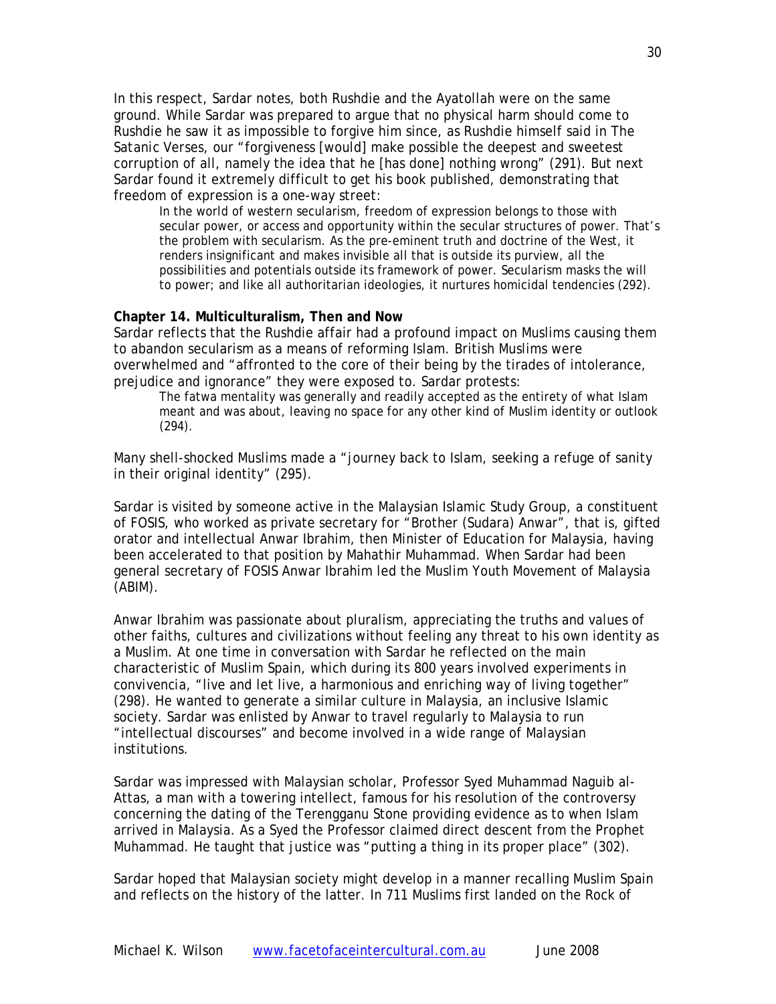In this respect, Sardar notes, both Rushdie and the Ayatollah were on the same ground. While Sardar was prepared to argue that no physical harm should come to Rushdie he saw it as impossible to forgive him since, as Rushdie himself said in *The Satanic Verses*, our "forgiveness [would] make possible the deepest and sweetest corruption of all, namely the idea that he [has done] nothing wrong" (291). But next Sardar found it extremely difficult to get his book published, demonstrating that freedom of expression is a one-way street:

In the world of western secularism, freedom of expression belongs to those with secular power, or access and opportunity within the secular structures of power. That's the problem with secularism. As the pre-eminent truth and doctrine of the West, it renders insignificant and makes invisible all that is outside its purview, all the possibilities and potentials outside its framework of power. Secularism masks the will to power; and like all authoritarian ideologies, it nurtures homicidal tendencies (292).

# **Chapter 14. Multiculturalism, Then and Now**

Sardar reflects that the Rushdie affair had a profound impact on Muslims causing them to abandon secularism as a means of reforming Islam. British Muslims were overwhelmed and "affronted to the core of their being by the tirades of intolerance, prejudice and ignorance" they were exposed to. Sardar protests:

The fatwa mentality was generally and readily accepted as the entirety of what Islam meant and was about, leaving no space for any other kind of Muslim identity or outlook (294).

Many shell-shocked Muslims made a "journey back to Islam, seeking a refuge of sanity in their original identity" (295).

Sardar is visited by someone active in the Malaysian Islamic Study Group, a constituent of FOSIS, who worked as private secretary for "Brother (Sudara) Anwar", that is, gifted orator and intellectual Anwar Ibrahim, then Minister of Education for Malaysia, having been accelerated to that position by Mahathir Muhammad. When Sardar had been general secretary of FOSIS Anwar Ibrahim led the Muslim Youth Movement of Malaysia (ABIM).

Anwar Ibrahim was passionate about pluralism, appreciating the truths and values of other faiths, cultures and civilizations without feeling any threat to his own identity as a Muslim. At one time in conversation with Sardar he reflected on the main characteristic of Muslim Spain, which during its 800 years involved experiments in *convivencia*, "live and let live, a harmonious and enriching way of living together" (298). He wanted to generate a similar culture in Malaysia, an inclusive Islamic society. Sardar was enlisted by Anwar to travel regularly to Malaysia to run "intellectual discourses" and become involved in a wide range of Malaysian institutions.

Sardar was impressed with Malaysian scholar, Professor Syed Muhammad Naguib al-Attas, a man with a towering intellect, famous for his resolution of the controversy concerning the dating of the Terengganu Stone providing evidence as to when Islam arrived in Malaysia. As a Syed the Professor claimed direct descent from the Prophet Muhammad. He taught that justice was "putting a thing in its proper place" (302).

Sardar hoped that Malaysian society might develop in a manner recalling Muslim Spain and reflects on the history of the latter. In 711 Muslims first landed on the Rock of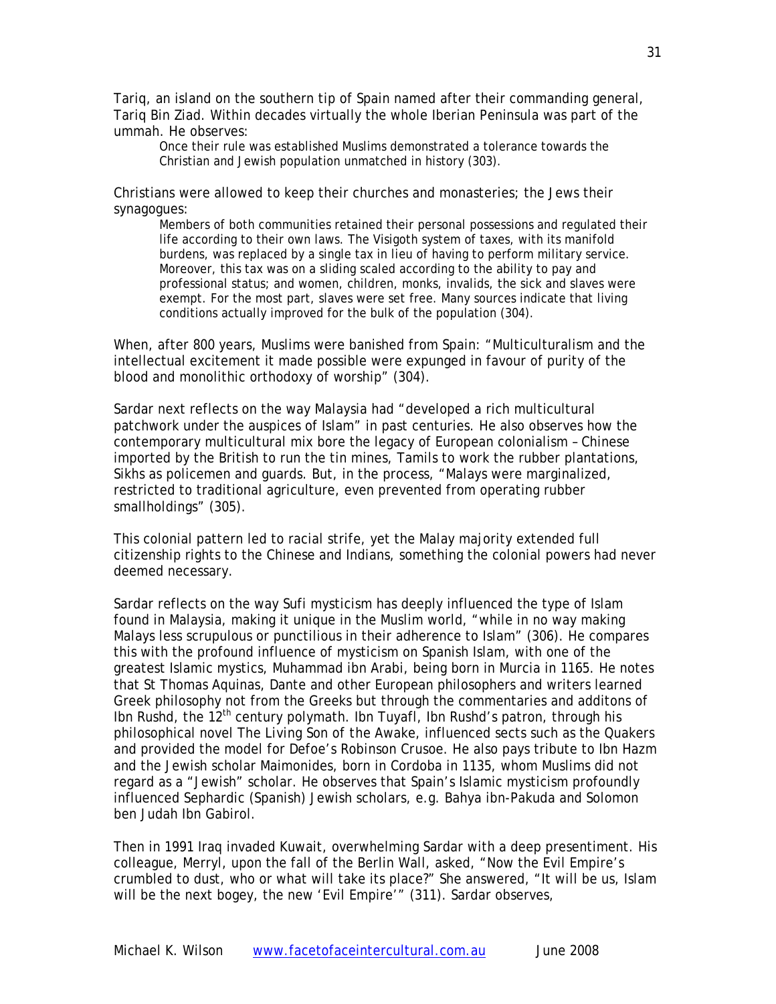Tariq, an island on the southern tip of Spain named after their commanding general, Tariq Bin Ziad. Within decades virtually the whole Iberian Peninsula was part of the *ummah*. He observes:

Once their rule was established Muslims demonstrated a tolerance towards the Christian and Jewish population unmatched in history (303).

Christians were allowed to keep their churches and monasteries; the Jews their synagogues:

Members of both communities retained their personal possessions and regulated their life according to their own laws. The Visigoth system of taxes, with its manifold burdens, was replaced by a single tax in lieu of having to perform military service. Moreover, this tax was on a sliding scaled according to the ability to pay and professional status; and women, children, monks, invalids, the sick and slaves were exempt. For the most part, slaves were set free. Many sources indicate that living conditions actually improved for the bulk of the population (304).

When, after 800 years, Muslims were banished from Spain: "Multiculturalism and the intellectual excitement it made possible were expunged in favour of purity of the blood and monolithic orthodoxy of worship" (304).

Sardar next reflects on the way Malaysia had "developed a rich multicultural patchwork under the auspices of Islam" in past centuries. He also observes how the contemporary multicultural mix bore the legacy of European colonialism – Chinese imported by the British to run the tin mines, Tamils to work the rubber plantations, Sikhs as policemen and guards. But, in the process, "Malays were marginalized, restricted to traditional agriculture, even prevented from operating rubber smallholdings" (305).

This colonial pattern led to racial strife, yet the Malay majority extended full citizenship rights to the Chinese and Indians, something the colonial powers had never deemed necessary.

Sardar reflects on the way Sufi mysticism has deeply influenced the type of Islam found in Malaysia, making it unique in the Muslim world, "while in no way making Malays less scrupulous or punctilious in their adherence to Islam" (306). He compares this with the profound influence of mysticism on Spanish Islam, with one of the greatest Islamic mystics, Muhammad ibn Arabi, being born in Murcia in 1165. He notes that St Thomas Aquinas, Dante and other European philosophers and writers learned Greek philosophy not from the Greeks but through the commentaries and additons of Ibn Rushd, the 12<sup>th</sup> century polymath. Ibn Tuyafl, Ibn Rushd's patron, through his philosophical novel *The Living Son of the Awake*, influenced sects such as the Quakers and provided the model for Defoe's *Robinson Crusoe*. He also pays tribute to Ibn Hazm and the Jewish scholar Maimonides, born in Cordoba in 1135, whom Muslims did not regard as a "Jewish" scholar. He observes that Spain's Islamic mysticism profoundly influenced Sephardic (Spanish) Jewish scholars, e.g. Bahya ibn-Pakuda and Solomon ben Judah Ibn Gabirol.

Then in 1991 Iraq invaded Kuwait, overwhelming Sardar with a deep presentiment. His colleague, Merryl, upon the fall of the Berlin Wall, asked, "Now the Evil Empire's crumbled to dust, who or what will take its place?" She answered, "It will be us, Islam will be the next bogey, the new 'Evil Empire'" (311). Sardar observes,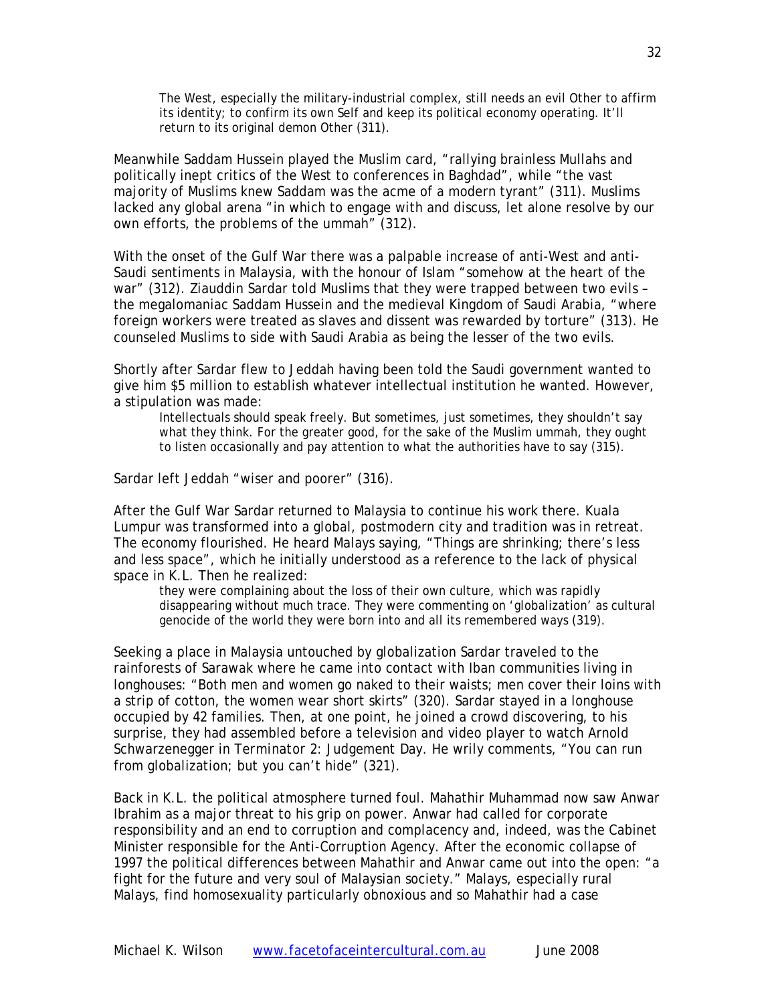The West, especially the military-industrial complex, still needs an evil Other to affirm its identity; to confirm its own Self and keep its political economy operating. It'll return to its original demon Other (311).

Meanwhile Saddam Hussein played the Muslim card, "rallying brainless Mullahs and politically inept critics of the West to conferences in Baghdad", while "the vast majority of Muslims knew Saddam was the acme of a modern tyrant" (311). Muslims lacked any global arena "in which to engage with and discuss, let alone resolve by our own efforts, the problems of the *ummah*" (312).

With the onset of the Gulf War there was a palpable increase of anti-West and anti-Saudi sentiments in Malaysia, with the honour of Islam "somehow at the heart of the war" (312). Ziauddin Sardar told Muslims that they were trapped between two evils – the megalomaniac Saddam Hussein and the medieval Kingdom of Saudi Arabia, "where foreign workers were treated as slaves and dissent was rewarded by torture" (313). He counseled Muslims to side with Saudi Arabia as being the lesser of the two evils.

Shortly after Sardar flew to Jeddah having been told the Saudi government wanted to give him \$5 million to establish whatever intellectual institution he wanted. However, a stipulation was made:

Intellectuals should speak freely. But sometimes, just sometimes, they shouldn't say what they think. For the greater good, for the sake of the Muslim *ummah*, they ought to listen occasionally and pay attention to what the authorities have to say (315).

Sardar left Jeddah "wiser and poorer" (316).

After the Gulf War Sardar returned to Malaysia to continue his work there. Kuala Lumpur was transformed into a global, postmodern city and tradition was in retreat. The economy flourished. He heard Malays saying, "Things are shrinking; there's less and less space", which he initially understood as a reference to the lack of physical space in K.L. Then he realized:

they were complaining about the loss of their own culture, which was rapidly disappearing without much trace. They were commenting on 'globalization' as cultural genocide of the world they were born into and all its remembered ways (319).

Seeking a place in Malaysia untouched by globalization Sardar traveled to the rainforests of Sarawak where he came into contact with Iban communities living in longhouses: "Both men and women go naked to their waists; men cover their loins with a strip of cotton, the women wear short skirts" (320). Sardar stayed in a longhouse occupied by 42 families. Then, at one point, he joined a crowd discovering, to his surprise, they had assembled before a television and video player to watch Arnold Schwarzenegger in *Terminator 2: Judgement Day*. He wrily comments, "You can run from globalization; but you can't hide" (321).

Back in K.L. the political atmosphere turned foul. Mahathir Muhammad now saw Anwar Ibrahim as a major threat to his grip on power. Anwar had called for corporate responsibility and an end to corruption and complacency and, indeed, was the Cabinet Minister responsible for the Anti-Corruption Agency. After the economic collapse of 1997 the political differences between Mahathir and Anwar came out into the open: "a fight for the future and very soul of Malaysian society." Malays, especially rural Malays, find homosexuality particularly obnoxious and so Mahathir had a case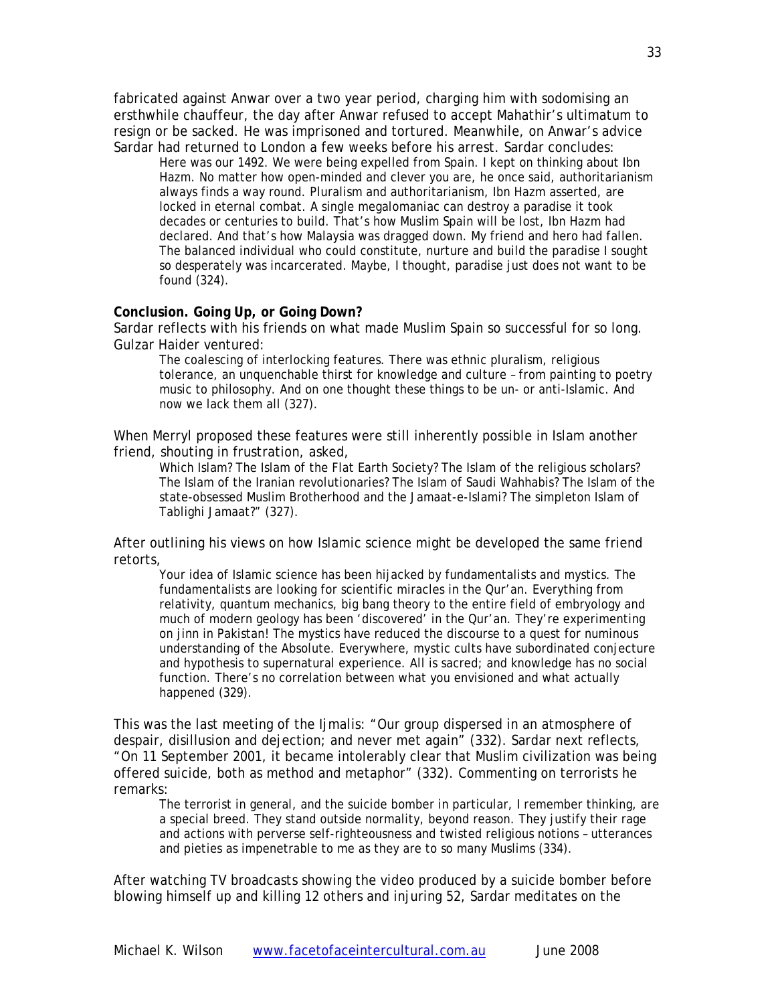fabricated against Anwar over a two year period, charging him with sodomising an ersthwhile chauffeur, the day after Anwar refused to accept Mahathir's ultimatum to resign or be sacked. He was imprisoned and tortured. Meanwhile, on Anwar's advice Sardar had returned to London a few weeks before his arrest. Sardar concludes:

Here was our 1492. We were being expelled from Spain. I kept on thinking about Ibn Hazm. No matter how open-minded and clever you are, he once said, authoritarianism always finds a way round. Pluralism and authoritarianism, Ibn Hazm asserted, are locked in eternal combat. A single megalomaniac can destroy a paradise it took decades or centuries to build. That's how Muslim Spain will be lost, Ibn Hazm had declared. And that's how Malaysia was dragged down. My friend and hero had fallen. The balanced individual who could constitute, nurture and build the paradise I sought so desperately was incarcerated. Maybe, I thought, paradise just does not want to be found (324).

## **Conclusion. Going Up, or Going Down?**

Sardar reflects with his friends on what made Muslim Spain so successful for so long. Gulzar Haider ventured:

The coalescing of interlocking features. There was ethnic pluralism, religious tolerance, an unquenchable thirst for knowledge and culture – from painting to poetry music to philosophy. And on one thought these things to be un- or anti-Islamic. And now we lack them all (327).

When Merryl proposed these features were still inherently possible in Islam another friend, shouting in frustration, asked,

Which Islam? The Islam of the Flat Earth Society? The Islam of the religious scholars? The Islam of the Iranian revolutionaries? The Islam of Saudi Wahhabis? The Islam of the state-obsessed Muslim Brotherhood and the Jamaat-e-Islami? The simpleton Islam of Tablighi Jamaat?" (327).

After outlining his views on how Islamic science might be developed the same friend retorts,

Your idea of Islamic science has been hijacked by fundamentalists and mystics. The fundamentalists are looking for scientific miracles in the Qur'an. Everything from relativity, quantum mechanics, big bang theory to the entire field of embryology and much of modern geology has been 'discovered' in the Qur'an. They're experimenting on jinn in Pakistan! The mystics have reduced the discourse to a quest for numinous understanding of the Absolute. Everywhere, mystic cults have subordinated conjecture and hypothesis to supernatural experience. All is sacred; and knowledge has no social function. There's no correlation between what you envisioned and what actually happened (329).

This was the last meeting of the Ijmalis: "Our group dispersed in an atmosphere of despair, disillusion and dejection; and never met again" (332). Sardar next reflects, "On 11 September 2001, it became intolerably clear that Muslim civilization was being offered suicide, both as method and metaphor" (332). Commenting on terrorists he remarks:

The terrorist in general, and the suicide bomber in particular, I remember thinking, are a special breed. They stand outside normality, beyond reason. They justify their rage and actions with perverse self-righteousness and twisted religious notions – utterances and pieties as impenetrable to me as they are to so many Muslims (334).

After watching TV broadcasts showing the video produced by a suicide bomber before blowing himself up and killing 12 others and injuring 52, Sardar meditates on the